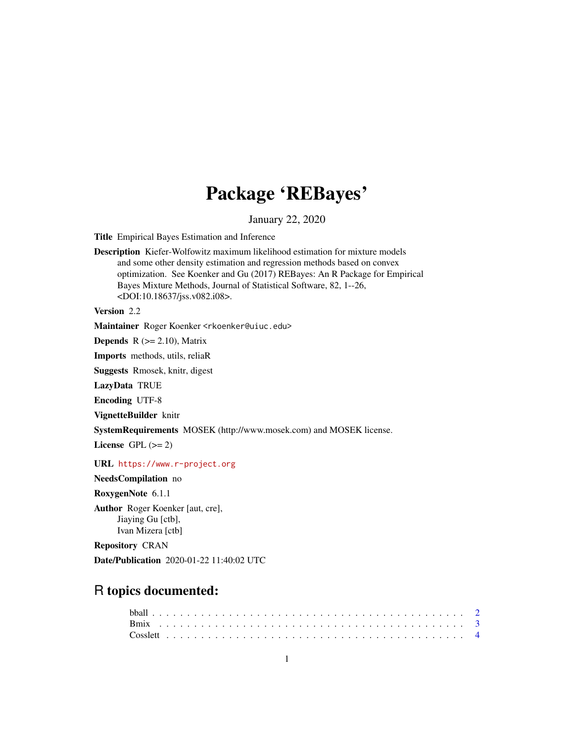# Package 'REBayes'

January 22, 2020

Title Empirical Bayes Estimation and Inference

Description Kiefer-Wolfowitz maximum likelihood estimation for mixture models and some other density estimation and regression methods based on convex optimization. See Koenker and Gu (2017) REBayes: An R Package for Empirical Bayes Mixture Methods, Journal of Statistical Software, 82, 1--26, <DOI:10.18637/jss.v082.i08>.

Version 2.2

Maintainer Roger Koenker <rkoenker@uiuc.edu>

**Depends**  $R$  ( $>= 2.10$ ), Matrix

Imports methods, utils, reliaR

Suggests Rmosek, knitr, digest

LazyData TRUE

Encoding UTF-8

VignetteBuilder knitr

SystemRequirements MOSEK (http://www.mosek.com) and MOSEK license.

License GPL  $(>= 2)$ 

URL <https://www.r-project.org>

NeedsCompilation no

RoxygenNote 6.1.1

Author Roger Koenker [aut, cre], Jiaying Gu [ctb], Ivan Mizera [ctb]

Repository CRAN

Date/Publication 2020-01-22 11:40:02 UTC

# R topics documented: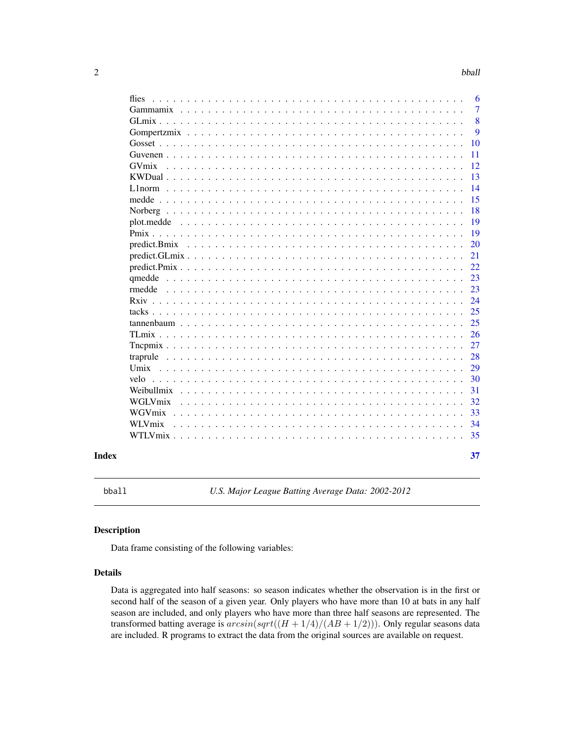<span id="page-1-0"></span>

|            |  |  |  |  |  |  |  |  |  |  |  |  |  |  |  |    | 8<br>9 |
|------------|--|--|--|--|--|--|--|--|--|--|--|--|--|--|--|----|--------|
|            |  |  |  |  |  |  |  |  |  |  |  |  |  |  |  | 10 |        |
|            |  |  |  |  |  |  |  |  |  |  |  |  |  |  |  | 11 |        |
| GVmix      |  |  |  |  |  |  |  |  |  |  |  |  |  |  |  | 12 |        |
|            |  |  |  |  |  |  |  |  |  |  |  |  |  |  |  | 13 |        |
|            |  |  |  |  |  |  |  |  |  |  |  |  |  |  |  | 14 |        |
|            |  |  |  |  |  |  |  |  |  |  |  |  |  |  |  | 15 |        |
|            |  |  |  |  |  |  |  |  |  |  |  |  |  |  |  | 18 |        |
| plot.medde |  |  |  |  |  |  |  |  |  |  |  |  |  |  |  | 19 |        |
|            |  |  |  |  |  |  |  |  |  |  |  |  |  |  |  | 19 |        |
|            |  |  |  |  |  |  |  |  |  |  |  |  |  |  |  | 20 |        |
|            |  |  |  |  |  |  |  |  |  |  |  |  |  |  |  | 21 |        |
|            |  |  |  |  |  |  |  |  |  |  |  |  |  |  |  | 22 |        |
|            |  |  |  |  |  |  |  |  |  |  |  |  |  |  |  | 23 |        |
|            |  |  |  |  |  |  |  |  |  |  |  |  |  |  |  | 23 |        |
|            |  |  |  |  |  |  |  |  |  |  |  |  |  |  |  | 24 |        |
|            |  |  |  |  |  |  |  |  |  |  |  |  |  |  |  | 25 |        |
| tannenbaum |  |  |  |  |  |  |  |  |  |  |  |  |  |  |  | 25 |        |
|            |  |  |  |  |  |  |  |  |  |  |  |  |  |  |  | 26 |        |
|            |  |  |  |  |  |  |  |  |  |  |  |  |  |  |  | 27 |        |
|            |  |  |  |  |  |  |  |  |  |  |  |  |  |  |  | 28 |        |
|            |  |  |  |  |  |  |  |  |  |  |  |  |  |  |  | 29 |        |
| velo       |  |  |  |  |  |  |  |  |  |  |  |  |  |  |  | 30 |        |
| Weibullmix |  |  |  |  |  |  |  |  |  |  |  |  |  |  |  | 31 |        |
| WGLVmix    |  |  |  |  |  |  |  |  |  |  |  |  |  |  |  | 32 |        |
| WGVmix.    |  |  |  |  |  |  |  |  |  |  |  |  |  |  |  | 33 |        |
| WLVmix     |  |  |  |  |  |  |  |  |  |  |  |  |  |  |  | 34 |        |
|            |  |  |  |  |  |  |  |  |  |  |  |  |  |  |  | 35 |        |

bball *U.S. Major League Batting Average Data: 2002-2012*

#### Description

Data frame consisting of the following variables:

# Details

Data is aggregated into half seasons: so season indicates whether the observation is in the first or second half of the season of a given year. Only players who have more than 10 at bats in any half season are included, and only players who have more than three half seasons are represented. The transformed batting average is  $arcsin(sqrt((H + 1/4)/(AB + 1/2)))$ . Only regular seasons data are included. R programs to extract the data from the original sources are available on request.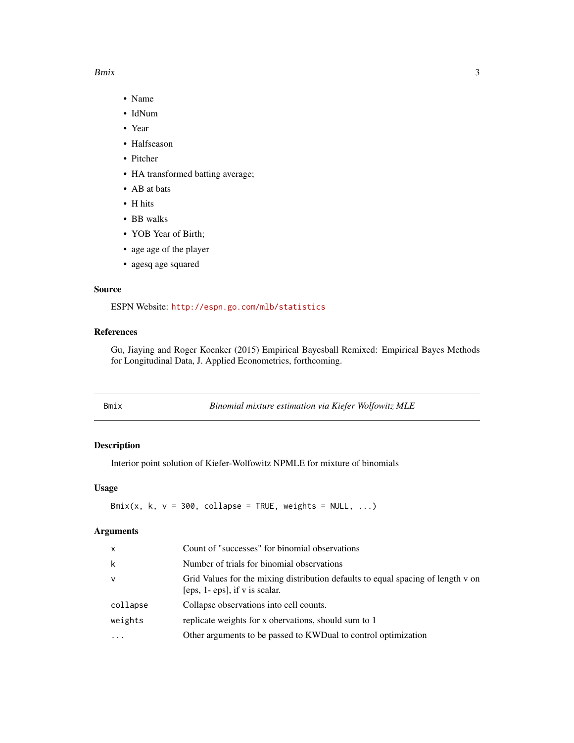#### <span id="page-2-0"></span> $B$ mix  $\overline{\phantom{a}}$  3

- Name
- IdNum
- Year
- Halfseason
- Pitcher
- HA transformed batting average;
- AB at bats
- H hits
- BB walks
- YOB Year of Birth;
- age age of the player
- agesq age squared

#### Source

ESPN Website: <http://espn.go.com/mlb/statistics>

# References

Gu, Jiaying and Roger Koenker (2015) Empirical Bayesball Remixed: Empirical Bayes Methods for Longitudinal Data, J. Applied Econometrics, forthcoming.

| Bmix |  | Binomial mixture estimation via Kiefer Wolfowitz MLE |
|------|--|------------------------------------------------------|
|      |  |                                                      |

# Description

Interior point solution of Kiefer-Wolfowitz NPMLE for mixture of binomials

#### Usage

Bmix(x, k,  $v = 300$ , collapse = TRUE, weights = NULL, ...)

| $\mathsf{x}$ | Count of "successes" for binomial observations                                                                     |
|--------------|--------------------------------------------------------------------------------------------------------------------|
| k            | Number of trials for binomial observations                                                                         |
| $\mathsf{v}$ | Grid Values for the mixing distribution defaults to equal spacing of length v on<br>[eps, 1- eps], if v is scalar. |
| collapse     | Collapse observations into cell counts.                                                                            |
| weights      | replicate weights for x obervations, should sum to 1                                                               |
|              | Other arguments to be passed to KWDual to control optimization                                                     |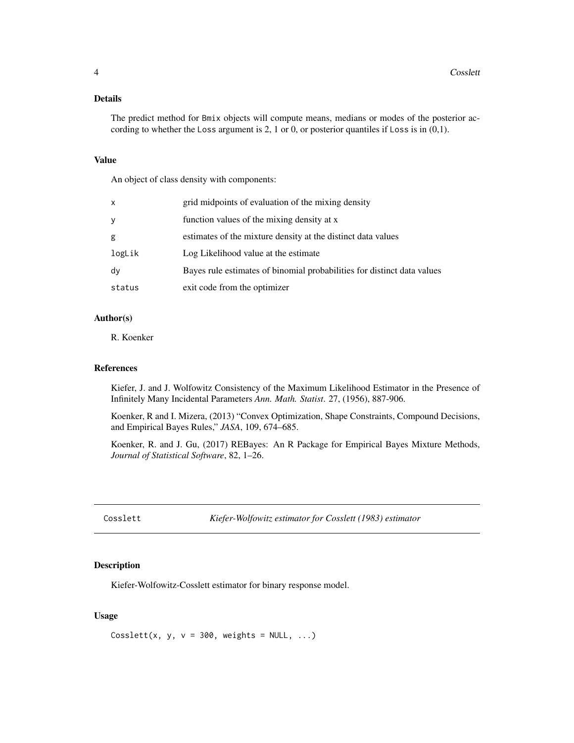# <span id="page-3-0"></span>Details

The predict method for Bmix objects will compute means, medians or modes of the posterior according to whether the Loss argument is 2, 1 or 0, or posterior quantiles if Loss is in (0,1).

#### Value

An object of class density with components:

| x      | grid midpoints of evaluation of the mixing density                      |
|--------|-------------------------------------------------------------------------|
| У      | function values of the mixing density at x                              |
| g      | estimates of the mixture density at the distinct data values            |
| logLik | Log Likelihood value at the estimate                                    |
| dy     | Bayes rule estimates of binomial probabilities for distinct data values |
| status | exit code from the optimizer                                            |

#### Author(s)

R. Koenker

#### References

Kiefer, J. and J. Wolfowitz Consistency of the Maximum Likelihood Estimator in the Presence of Infinitely Many Incidental Parameters *Ann. Math. Statist*. 27, (1956), 887-906.

Koenker, R and I. Mizera, (2013) "Convex Optimization, Shape Constraints, Compound Decisions, and Empirical Bayes Rules," *JASA*, 109, 674–685.

Koenker, R. and J. Gu, (2017) REBayes: An R Package for Empirical Bayes Mixture Methods, *Journal of Statistical Software*, 82, 1–26.

Cosslett *Kiefer-Wolfowitz estimator for Cosslett (1983) estimator*

#### Description

Kiefer-Wolfowitz-Cosslett estimator for binary response model.

# Usage

Cosslett(x, y,  $v = 300$ , weights = NULL, ...)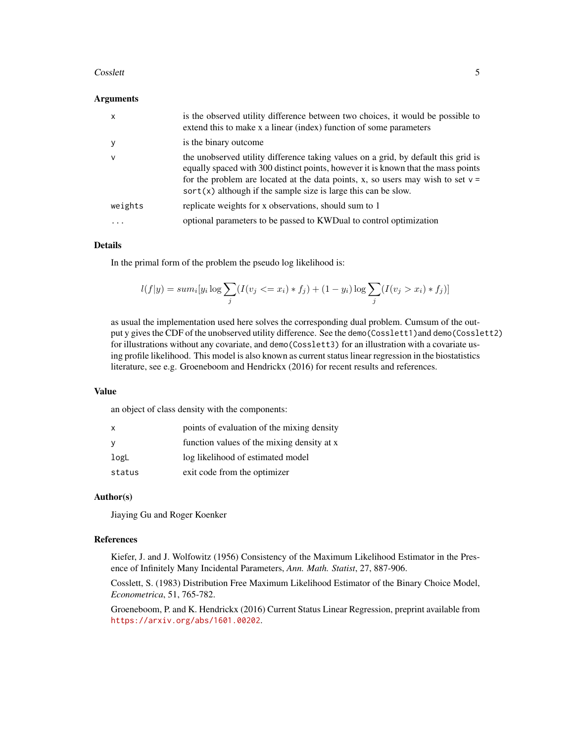#### Cosslett 5

#### Arguments

| $\mathsf{x}$ | is the observed utility difference between two choices, it would be possible to<br>extend this to make x a linear (index) function of some parameters                                                                                                                                                                            |
|--------------|----------------------------------------------------------------------------------------------------------------------------------------------------------------------------------------------------------------------------------------------------------------------------------------------------------------------------------|
| <sub>V</sub> | is the binary outcome                                                                                                                                                                                                                                                                                                            |
| $\vee$       | the unobserved utility difference taking values on a grid, by default this grid is<br>equally spaced with 300 distinct points, however it is known that the mass points<br>for the problem are located at the data points, x, so users may wish to set $v =$<br>$sort(x)$ although if the sample size is large this can be slow. |
| weights      | replicate weights for x observations, should sum to 1                                                                                                                                                                                                                                                                            |
| $\cdots$     | optional parameters to be passed to KWD ual to control optimization                                                                                                                                                                                                                                                              |

#### Details

In the primal form of the problem the pseudo log likelihood is:

$$
l(f|y) = sum_i[y_i \log \sum_j (I(v_j \le x_i) * f_j) + (1 - y_i) \log \sum_j (I(v_j > x_i) * f_j)]
$$

as usual the implementation used here solves the corresponding dual problem. Cumsum of the output y gives the CDF of the unobserved utility difference. See the demo(Cosslett1)and demo(Cosslett2) for illustrations without any covariate, and demo(Cosslett3) for an illustration with a covariate using profile likelihood. This model is also known as current status linear regression in the biostatistics literature, see e.g. Groeneboom and Hendrickx (2016) for recent results and references.

#### Value

an object of class density with the components:

| points of evaluation of the mixing density |
|--------------------------------------------|
| function values of the mixing density at x |
| log likelihood of estimated model          |
| exit code from the optimizer               |
|                                            |

#### Author(s)

Jiaying Gu and Roger Koenker

#### References

Kiefer, J. and J. Wolfowitz (1956) Consistency of the Maximum Likelihood Estimator in the Presence of Infinitely Many Incidental Parameters, *Ann. Math. Statist*, 27, 887-906.

Cosslett, S. (1983) Distribution Free Maximum Likelihood Estimator of the Binary Choice Model, *Econometrica*, 51, 765-782.

Groeneboom, P. and K. Hendrickx (2016) Current Status Linear Regression, preprint available from <https://arxiv.org/abs/1601.00202>.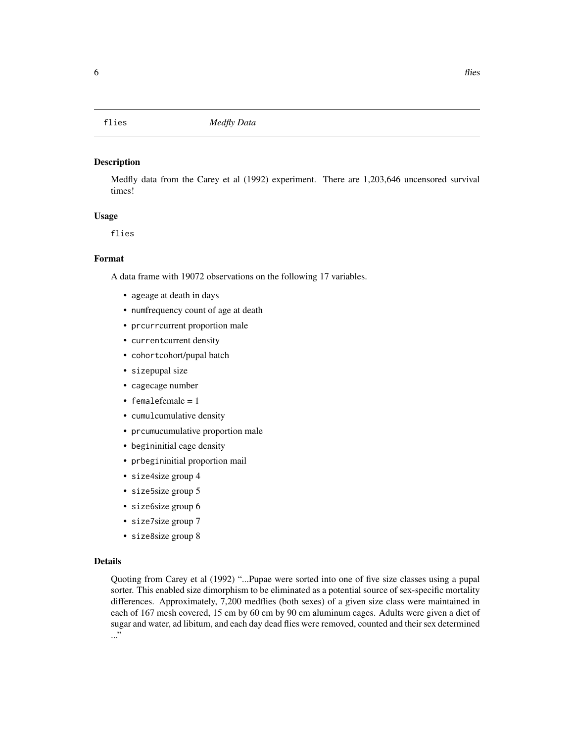<span id="page-5-0"></span>Medfly data from the Carey et al (1992) experiment. There are 1,203,646 uncensored survival times!

# Usage

flies

# Format

A data frame with 19072 observations on the following 17 variables.

- ageage at death in days
- numfrequency count of age at death
- prcurrcurrent proportion male
- currentcurrent density
- cohortcohort/pupal batch
- sizepupal size
- cagecage number
- femalefemale = 1
- cumulcumulative density
- prcumucumulative proportion male
- begininitial cage density
- prbegininitial proportion mail
- size4size group 4
- size5size group 5
- size6size group 6
- size7size group 7
- size8size group 8

# Details

Quoting from Carey et al (1992) "...Pupae were sorted into one of five size classes using a pupal sorter. This enabled size dimorphism to be eliminated as a potential source of sex-specific mortality differences. Approximately, 7,200 medflies (both sexes) of a given size class were maintained in each of 167 mesh covered, 15 cm by 60 cm by 90 cm aluminum cages. Adults were given a diet of sugar and water, ad libitum, and each day dead flies were removed, counted and their sex determined ..."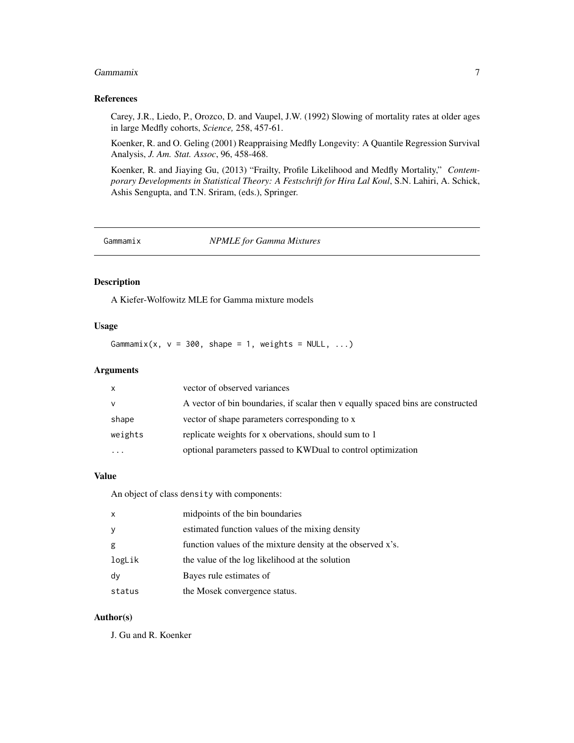#### <span id="page-6-0"></span>Gammamix 7

## References

Carey, J.R., Liedo, P., Orozco, D. and Vaupel, J.W. (1992) Slowing of mortality rates at older ages in large Medfly cohorts, *Science,* 258, 457-61.

Koenker, R. and O. Geling (2001) Reappraising Medfly Longevity: A Quantile Regression Survival Analysis, *J. Am. Stat. Assoc*, 96, 458-468.

Koenker, R. and Jiaying Gu, (2013) "Frailty, Profile Likelihood and Medfly Mortality," *Contemporary Developments in Statistical Theory: A Festschrift for Hira Lal Koul*, S.N. Lahiri, A. Schick, Ashis Sengupta, and T.N. Sriram, (eds.), Springer.

Gammamix *NPMLE for Gamma Mixtures*

#### Description

A Kiefer-Wolfowitz MLE for Gamma mixture models

# Usage

Gammamix(x,  $v = 300$ , shape = 1, weights = NULL, ...)

# Arguments

| X        | vector of observed variances                                                     |
|----------|----------------------------------------------------------------------------------|
| v        | A vector of bin boundaries, if scalar then v equally spaced bins are constructed |
| shape    | vector of shape parameters corresponding to x                                    |
| weights  | replicate weights for x obervations, should sum to 1                             |
| $\cdots$ | optional parameters passed to KWDual to control optimization                     |

#### Value

An object of class density with components:

| $\mathsf{x}$ | midpoints of the bin boundaries                             |
|--------------|-------------------------------------------------------------|
| y            | estimated function values of the mixing density             |
| g            | function values of the mixture density at the observed x's. |
| logLik       | the value of the log likelihood at the solution             |
| dy           | Bayes rule estimates of                                     |
| status       | the Mosek convergence status.                               |

# Author(s)

J. Gu and R. Koenker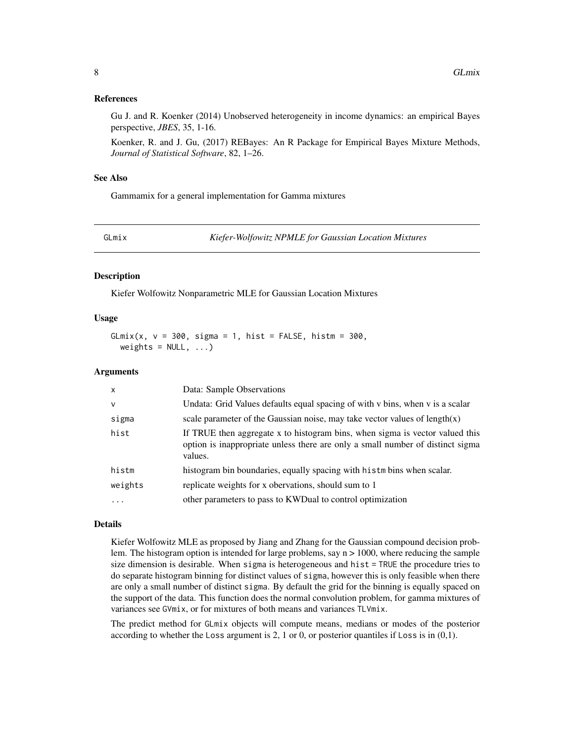#### <span id="page-7-0"></span>References

Gu J. and R. Koenker (2014) Unobserved heterogeneity in income dynamics: an empirical Bayes perspective, *JBES*, 35, 1-16.

Koenker, R. and J. Gu, (2017) REBayes: An R Package for Empirical Bayes Mixture Methods, *Journal of Statistical Software*, 82, 1–26.

#### See Also

Gammamix for a general implementation for Gamma mixtures

GLmix *Kiefer-Wolfowitz NPMLE for Gaussian Location Mixtures*

#### Description

Kiefer Wolfowitz Nonparametric MLE for Gaussian Location Mixtures

#### Usage

GLmix(x,  $v = 300$ , sigma = 1, hist = FALSE, histm =  $300$ , weights =  $NULL, ...)$ 

#### Arguments

| $\mathsf{x}$ | Data: Sample Observations                                                                                                                                                 |
|--------------|---------------------------------------------------------------------------------------------------------------------------------------------------------------------------|
| $\vee$       | Undata: Grid Values defaults equal spacing of with v bins, when v is a scalar                                                                                             |
| sigma        | scale parameter of the Gaussian noise, may take vector values of $length(x)$                                                                                              |
| hist         | If TRUE then aggregate x to histogram bins, when sigma is vector valued this<br>option is inappropriate unless there are only a small number of distinct sigma<br>values. |
| histm        | histogram bin boundaries, equally spacing with histm bins when scalar.                                                                                                    |
| weights      | replicate weights for x obervations, should sum to 1                                                                                                                      |
| $\ddots$     | other parameters to pass to KWD ual to control optimization                                                                                                               |

#### Details

Kiefer Wolfowitz MLE as proposed by Jiang and Zhang for the Gaussian compound decision problem. The histogram option is intended for large problems, say n > 1000, where reducing the sample size dimension is desirable. When sigma is heterogeneous and hist = TRUE the procedure tries to do separate histogram binning for distinct values of sigma, however this is only feasible when there are only a small number of distinct sigma. By default the grid for the binning is equally spaced on the support of the data. This function does the normal convolution problem, for gamma mixtures of variances see GVmix, or for mixtures of both means and variances TLVmix.

The predict method for GLmix objects will compute means, medians or modes of the posterior according to whether the Loss argument is  $2$ , 1 or 0, or posterior quantiles if Loss is in  $(0,1)$ .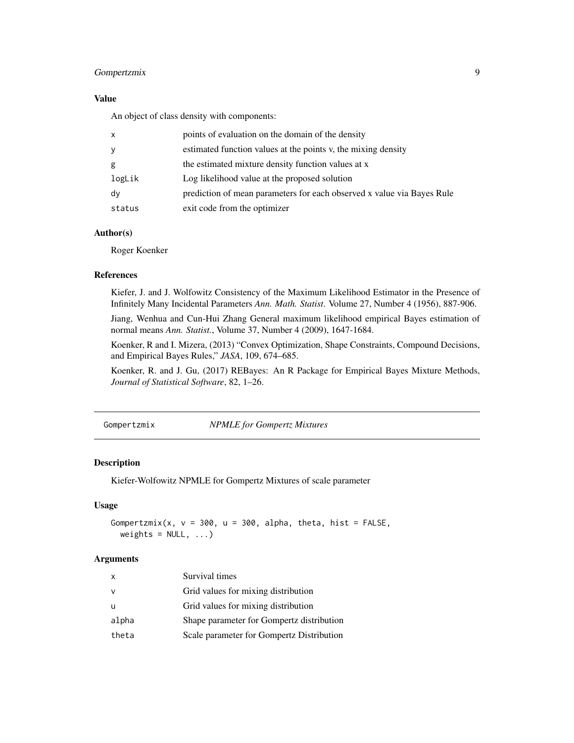# <span id="page-8-0"></span>Gompertzmix 9

# Value

An object of class density with components:

| $\mathsf{x}$ | points of evaluation on the domain of the density                      |
|--------------|------------------------------------------------------------------------|
| y            | estimated function values at the points v, the mixing density          |
| g            | the estimated mixture density function values at x                     |
| logLik       | Log likelihood value at the proposed solution                          |
| dy           | prediction of mean parameters for each observed x value via Bayes Rule |
| status       | exit code from the optimizer                                           |

#### Author(s)

Roger Koenker

#### References

Kiefer, J. and J. Wolfowitz Consistency of the Maximum Likelihood Estimator in the Presence of Infinitely Many Incidental Parameters *Ann. Math. Statist*. Volume 27, Number 4 (1956), 887-906.

Jiang, Wenhua and Cun-Hui Zhang General maximum likelihood empirical Bayes estimation of normal means *Ann. Statist.*, Volume 37, Number 4 (2009), 1647-1684.

Koenker, R and I. Mizera, (2013) "Convex Optimization, Shape Constraints, Compound Decisions, and Empirical Bayes Rules," *JASA*, 109, 674–685.

Koenker, R. and J. Gu, (2017) REBayes: An R Package for Empirical Bayes Mixture Methods, *Journal of Statistical Software*, 82, 1–26.

Gompertzmix *NPMLE for Gompertz Mixtures*

#### Description

Kiefer-Wolfowitz NPMLE for Gompertz Mixtures of scale parameter

# Usage

```
Gompertzmix(x, v = 300, u = 300, alpha, theta, hist = FALSE,
 weights = NULL, ...)
```

| X        | Survival times                            |
|----------|-------------------------------------------|
| <b>V</b> | Grid values for mixing distribution       |
| -U       | Grid values for mixing distribution       |
| alpha    | Shape parameter for Gompertz distribution |
| theta    | Scale parameter for Gompertz Distribution |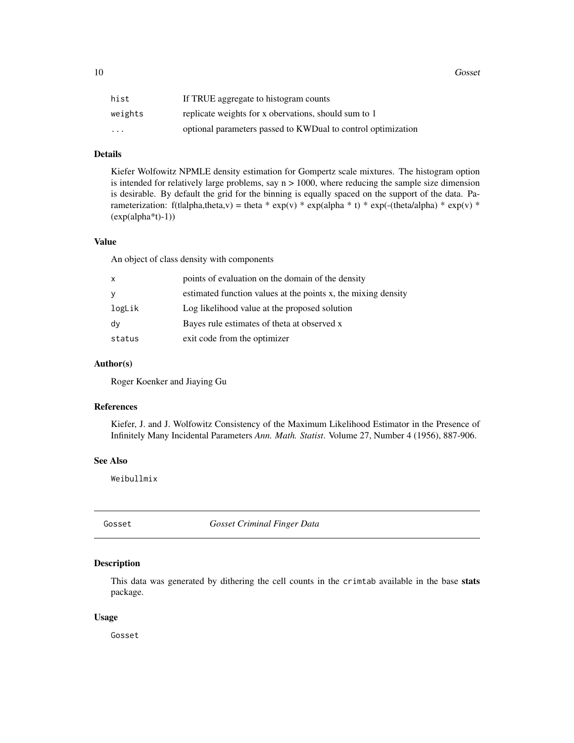<span id="page-9-0"></span>10 Gosset

| hist                    | If TRUE aggregate to histogram counts                        |
|-------------------------|--------------------------------------------------------------|
| weights                 | replicate weights for x obervations, should sum to 1         |
| $\cdot$ $\cdot$ $\cdot$ | optional parameters passed to KWDual to control optimization |

# Details

Kiefer Wolfowitz NPMLE density estimation for Gompertz scale mixtures. The histogram option is intended for relatively large problems, say  $n > 1000$ , where reducing the sample size dimension is desirable. By default the grid for the binning is equally spaced on the support of the data. Parameterization: f(tlalpha,theta,v) = theta \* exp(v) \* exp(alpha \* t) \* exp(-(theta/alpha) \* exp(v) \* (exp(alpha\*t)-1))

#### Value

An object of class density with components

| X      | points of evaluation on the domain of the density             |
|--------|---------------------------------------------------------------|
| У      | estimated function values at the points x, the mixing density |
| logLik | Log likelihood value at the proposed solution                 |
| dy     | Bayes rule estimates of theta at observed x                   |
| status | exit code from the optimizer                                  |

#### Author(s)

Roger Koenker and Jiaying Gu

#### References

Kiefer, J. and J. Wolfowitz Consistency of the Maximum Likelihood Estimator in the Presence of Infinitely Many Incidental Parameters *Ann. Math. Statist*. Volume 27, Number 4 (1956), 887-906.

#### See Also

Weibullmix

Gosset *Gosset Criminal Finger Data*

# Description

This data was generated by dithering the cell counts in the crimtab available in the base stats package.

#### Usage

Gosset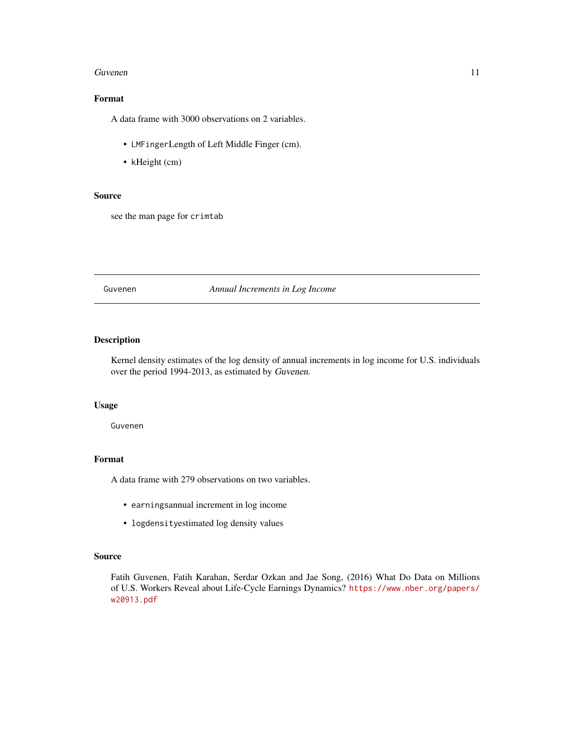#### <span id="page-10-0"></span>Guvenen 11

# Format

A data frame with 3000 observations on 2 variables.

- LMFingerLength of Left Middle Finger (cm).
- kHeight (cm)

# Source

see the man page for crimtab

# Guvenen *Annual Increments in Log Income*

# Description

Kernel density estimates of the log density of annual increments in log income for U.S. individuals over the period 1994-2013, as estimated by Guvenen.

#### Usage

Guvenen

# Format

A data frame with 279 observations on two variables.

- earningsannual increment in log income
- logdensityestimated log density values

# Source

Fatih Guvenen, Fatih Karahan, Serdar Ozkan and Jae Song, (2016) What Do Data on Millions of U.S. Workers Reveal about Life-Cycle Earnings Dynamics? [https://www.nber.org/papers/](https://www.nber.org/papers/w20913.pdf) [w20913.pdf](https://www.nber.org/papers/w20913.pdf)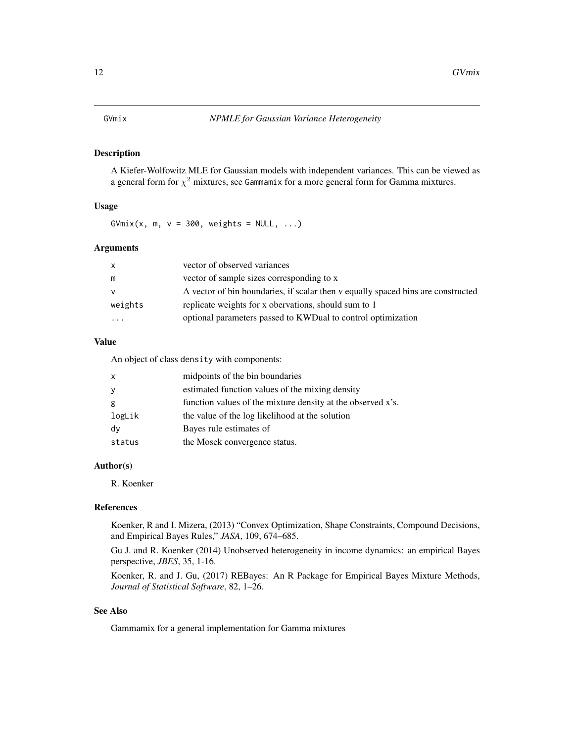<span id="page-11-0"></span>A Kiefer-Wolfowitz MLE for Gaussian models with independent variances. This can be viewed as a general form for  $\chi^2$  mixtures, see Gammamix for a more general form for Gamma mixtures.

# Usage

 $GVmix(x, m, v = 300, weights = NULL, ...)$ 

# Arguments

| $\mathsf{x}$            | vector of observed variances                                                     |
|-------------------------|----------------------------------------------------------------------------------|
| m                       | vector of sample sizes corresponding to x                                        |
| <b>V</b>                | A vector of bin boundaries, if scalar then y equally spaced bins are constructed |
| weights                 | replicate weights for x obervations, should sum to 1                             |
| $\cdot$ $\cdot$ $\cdot$ | optional parameters passed to KWDual to control optimization                     |

#### Value

An object of class density with components:

| $\mathsf{x}$ | midpoints of the bin boundaries                             |
|--------------|-------------------------------------------------------------|
| y            | estimated function values of the mixing density             |
| g            | function values of the mixture density at the observed x's. |
| logLik       | the value of the log likelihood at the solution             |
| dy           | Bayes rule estimates of                                     |
| status       | the Mosek convergence status.                               |

# Author(s)

R. Koenker

#### References

Koenker, R and I. Mizera, (2013) "Convex Optimization, Shape Constraints, Compound Decisions, and Empirical Bayes Rules," *JASA*, 109, 674–685.

Gu J. and R. Koenker (2014) Unobserved heterogeneity in income dynamics: an empirical Bayes perspective, *JBES*, 35, 1-16.

Koenker, R. and J. Gu, (2017) REBayes: An R Package for Empirical Bayes Mixture Methods, *Journal of Statistical Software*, 82, 1–26.

# See Also

Gammamix for a general implementation for Gamma mixtures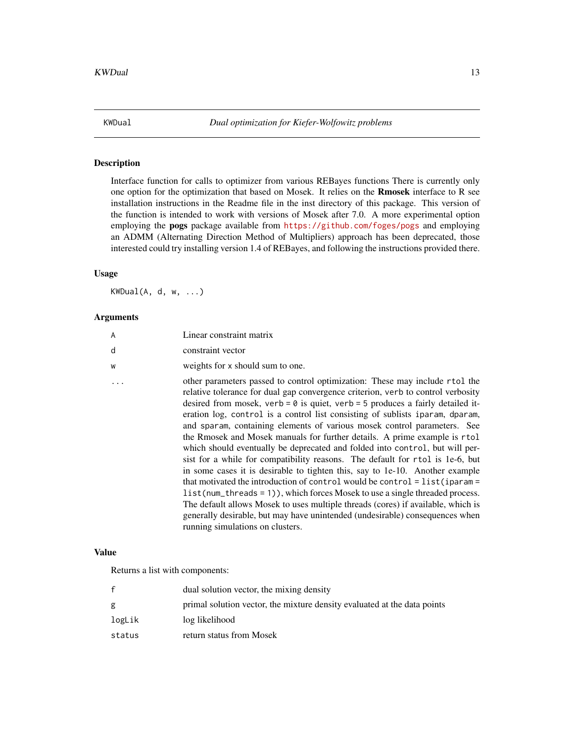<span id="page-12-0"></span>

Interface function for calls to optimizer from various REBayes functions There is currently only one option for the optimization that based on Mosek. It relies on the Rmosek interface to R see installation instructions in the Readme file in the inst directory of this package. This version of the function is intended to work with versions of Mosek after 7.0. A more experimental option employing the pogs package available from <https://github.com/foges/pogs> and employing an ADMM (Alternating Direction Method of Multipliers) approach has been deprecated, those interested could try installing version 1.4 of REBayes, and following the instructions provided there.

# Usage

KWDual(A, d, w, ...)

#### Arguments

| A | Linear constraint matrix                                                                                                                                                                                                                                                                                                                                                                                                                                                                                                                                                                                                                                                                                                                                                                                                                                                                                                                                                                                                                                                                                                       |
|---|--------------------------------------------------------------------------------------------------------------------------------------------------------------------------------------------------------------------------------------------------------------------------------------------------------------------------------------------------------------------------------------------------------------------------------------------------------------------------------------------------------------------------------------------------------------------------------------------------------------------------------------------------------------------------------------------------------------------------------------------------------------------------------------------------------------------------------------------------------------------------------------------------------------------------------------------------------------------------------------------------------------------------------------------------------------------------------------------------------------------------------|
| d | constraint vector                                                                                                                                                                                                                                                                                                                                                                                                                                                                                                                                                                                                                                                                                                                                                                                                                                                                                                                                                                                                                                                                                                              |
| W | weights for x should sum to one.                                                                                                                                                                                                                                                                                                                                                                                                                                                                                                                                                                                                                                                                                                                                                                                                                                                                                                                                                                                                                                                                                               |
|   | other parameters passed to control optimization: These may include rtol the<br>relative tolerance for dual gap convergence criterion, verb to control verbosity<br>desired from mosek, verb = $\theta$ is quiet, verb = $5$ produces a fairly detailed it-<br>eration log, control is a control list consisting of sublists iparam, dparam,<br>and sparam, containing elements of various mosek control parameters. See<br>the Rmosek and Mosek manuals for further details. A prime example is rtol<br>which should eventually be deprecated and folded into control, but will per-<br>sist for a while for compatibility reasons. The default for rtol is 1e-6, but<br>in some cases it is desirable to tighten this, say to 1e-10. Another example<br>that motivated the introduction of control would be control = $list(iparam =$<br>list(num_threads = 1)), which forces Mosek to use a single threaded process.<br>The default allows Mosek to uses multiple threads (cores) if available, which is<br>generally desirable, but may have unintended (undesirable) consequences when<br>running simulations on clusters. |
|   |                                                                                                                                                                                                                                                                                                                                                                                                                                                                                                                                                                                                                                                                                                                                                                                                                                                                                                                                                                                                                                                                                                                                |

# Value

Returns a list with components:

|        | dual solution vector, the mixing density                                 |
|--------|--------------------------------------------------------------------------|
| g      | primal solution vector, the mixture density evaluated at the data points |
| logLik | log likelihood                                                           |
| status | return status from Mosek                                                 |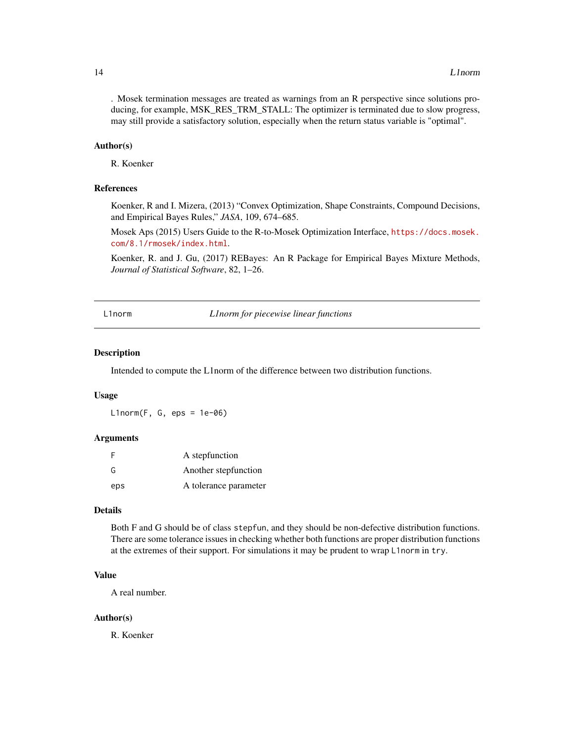<span id="page-13-0"></span>. Mosek termination messages are treated as warnings from an R perspective since solutions producing, for example, MSK\_RES\_TRM\_STALL: The optimizer is terminated due to slow progress, may still provide a satisfactory solution, especially when the return status variable is "optimal".

#### Author(s)

R. Koenker

#### References

Koenker, R and I. Mizera, (2013) "Convex Optimization, Shape Constraints, Compound Decisions, and Empirical Bayes Rules," *JASA*, 109, 674–685.

Mosek Aps (2015) Users Guide to the R-to-Mosek Optimization Interface, [https://docs.mosek.](https://docs.mosek.com/8.1/rmosek/index.html) [com/8.1/rmosek/index.html](https://docs.mosek.com/8.1/rmosek/index.html).

Koenker, R. and J. Gu, (2017) REBayes: An R Package for Empirical Bayes Mixture Methods, *Journal of Statistical Software*, 82, 1–26.

L1norm *L1norm for piecewise linear functions*

#### Description

Intended to compute the L1norm of the difference between two distribution functions.

#### Usage

 $L1norm(F, G, eps = 1e-06)$ 

#### Arguments

| F   | A stepfunction        |
|-----|-----------------------|
| G   | Another stepfunction  |
| eps | A tolerance parameter |

#### Details

Both F and G should be of class stepfun, and they should be non-defective distribution functions. There are some tolerance issues in checking whether both functions are proper distribution functions at the extremes of their support. For simulations it may be prudent to wrap L1norm in try.

# Value

A real number.

#### Author(s)

R. Koenker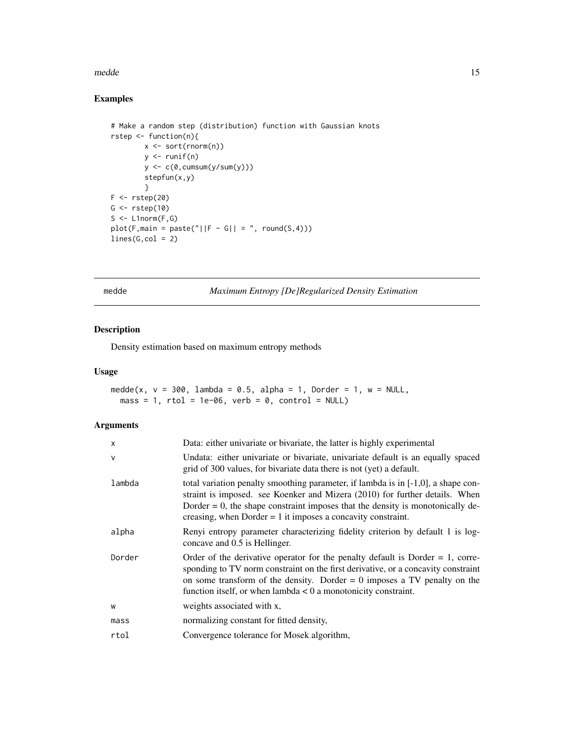#### <span id="page-14-0"></span>medde tww. 15

# Examples

```
# Make a random step (distribution) function with Gaussian knots
rstep <- function(n){
          x <- sort(rnorm(n))
          y \leftarrow runif(n)y \leftarrow c(\emptyset, \text{cumsum}(y/\text{sum}(y)))stepfun(x,y)
          }
F \leftarrow \text{rstep}(20)G \leftarrow \text{rstep}(10)S \leftarrow \text{L1norm}(F, G)plot(F, main = paste("||F - G|| = ", round(S, 4)))lines(G,col = 2)
```
medde *Maximum Entropy [De]Regularized Density Estimation*

# Description

Density estimation based on maximum entropy methods

# Usage

```
medde(x, v = 300, lambda = 0.5, alpha = 1, Dorder = 1, w = NULL,
 mass = 1, rtol = 1e-06, verb = 0, control = NULL)
```

| Data: either univariate or bivariate, the latter is highly experimental                                                                                                                                                                                                                                                    |
|----------------------------------------------------------------------------------------------------------------------------------------------------------------------------------------------------------------------------------------------------------------------------------------------------------------------------|
| Undata: either univariate or bivariate, univariate default is an equally spaced<br>grid of 300 values, for bivariate data there is not (yet) a default.                                                                                                                                                                    |
| total variation penalty smoothing parameter, if lambda is in $[-1,0]$ , a shape con-<br>straint is imposed. see Koenker and Mizera (2010) for further details. When<br>Dorder $= 0$ , the shape constraint imposes that the density is monotonically de-<br>creasing, when Dorder $= 1$ it imposes a concavity constraint. |
| Renyi entropy parameter characterizing fidelity criterion by default 1 is log-<br>concave and 0.5 is Hellinger.                                                                                                                                                                                                            |
| Order of the derivative operator for the penalty default is Dorder $= 1$ , corre-<br>sponding to TV norm constraint on the first derivative, or a concavity constraint<br>on some transform of the density. Dorder $= 0$ imposes a TV penalty on the<br>function itself, or when $lambda < 0$ a monotonicity constraint.   |
| weights associated with x,                                                                                                                                                                                                                                                                                                 |
| normalizing constant for fitted density,                                                                                                                                                                                                                                                                                   |
| Convergence tolerance for Mosek algorithm,                                                                                                                                                                                                                                                                                 |
|                                                                                                                                                                                                                                                                                                                            |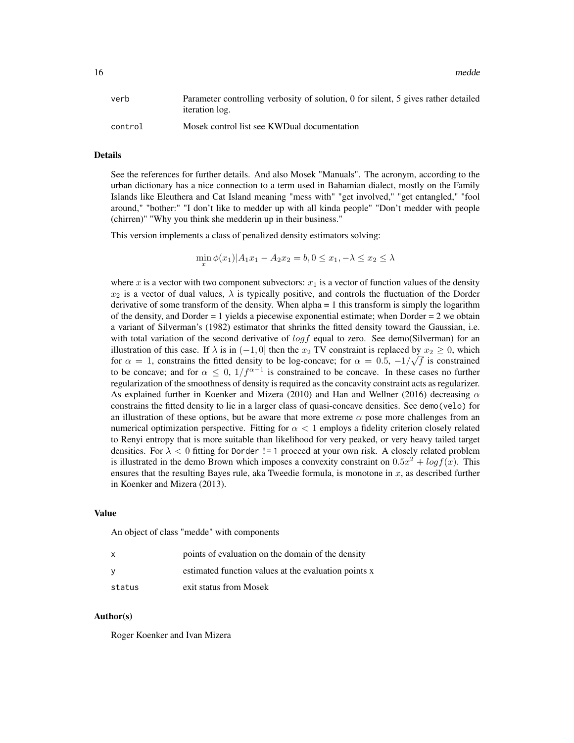16 medde was a strong way to be a strong way to be a strong way to be a strong way to be a strong way to be a strong way to be a strong way of the strong way of the strong way of the strong way of the strong way of the str

| verb    | Parameter controlling verbosity of solution, 0 for silent, 5 gives rather detailed<br><i>iteration log.</i> |
|---------|-------------------------------------------------------------------------------------------------------------|
| control | Mosek control list see KWDual documentation                                                                 |

#### Details

See the references for further details. And also Mosek "Manuals". The acronym, according to the urban dictionary has a nice connection to a term used in Bahamian dialect, mostly on the Family Islands like Eleuthera and Cat Island meaning "mess with" "get involved," "get entangled," "fool around," "bother:" "I don't like to medder up with all kinda people" "Don't medder with people (chirren)" "Why you think she medderin up in their business."

This version implements a class of penalized density estimators solving:

$$
\min_{x} \phi(x_1)|A_1x_1 - A_2x_2 = b, 0 \le x_1, -\lambda \le x_2 \le \lambda
$$

where x is a vector with two component subvectors:  $x_1$  is a vector of function values of the density  $x_2$  is a vector of dual values,  $\lambda$  is typically positive, and controls the fluctuation of the Dorder derivative of some transform of the density. When alpha = 1 this transform is simply the logarithm of the density, and Dorder = 1 yields a piecewise exponential estimate; when Dorder = 2 we obtain a variant of Silverman's (1982) estimator that shrinks the fitted density toward the Gaussian, i.e. with total variation of the second derivative of  $log f$  equal to zero. See demo(Silverman) for an illustration of this case. If  $\lambda$  is in  $(-1, 0]$  then the  $x_2$  TV constraint is replaced by  $x_2 \ge 0$ , which for  $\alpha = 1$ , constrains the fitted density to be log-concave; for  $\alpha = 0.5, -1/\sqrt{f}$  is constrained to be concave; and for  $\alpha \leq 0$ ,  $1/f^{\alpha-1}$  is constrained to be concave. In these cases no further regularization of the smoothness of density is required as the concavity constraint acts as regularizer. As explained further in Koenker and Mizera (2010) and Han and Wellner (2016) decreasing  $\alpha$ constrains the fitted density to lie in a larger class of quasi-concave densities. See demo(velo) for an illustration of these options, but be aware that more extreme  $\alpha$  pose more challenges from an numerical optimization perspective. Fitting for  $\alpha < 1$  employs a fidelity criterion closely related to Renyi entropy that is more suitable than likelihood for very peaked, or very heavy tailed target densities. For  $\lambda < 0$  fitting for Dorder != 1 proceed at your own risk. A closely related problem is illustrated in the demo Brown which imposes a convexity constraint on  $0.5x^2 + logf(x)$ . This ensures that the resulting Bayes rule, aka Tweedie formula, is monotone in  $x$ , as described further in Koenker and Mizera (2013).

#### Value

An object of class "medde" with components

| X      | points of evaluation on the domain of the density    |
|--------|------------------------------------------------------|
| v      | estimated function values at the evaluation points x |
| status | exit status from Mosek                               |

#### Author(s)

Roger Koenker and Ivan Mizera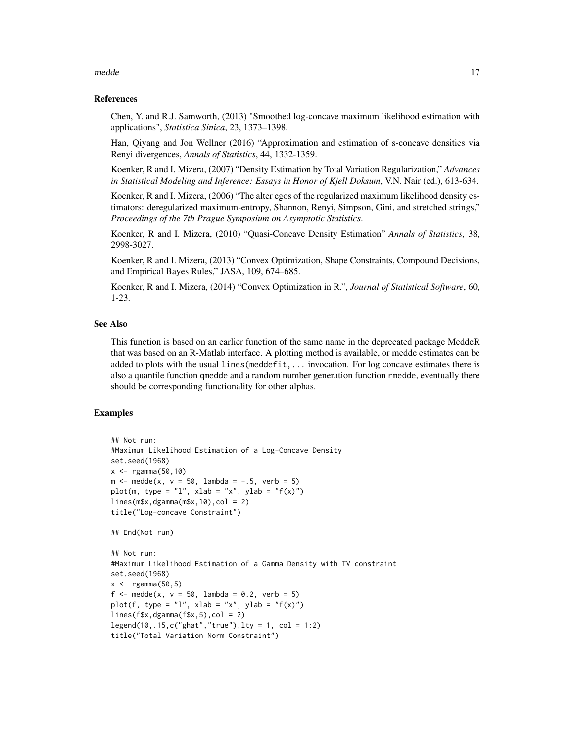#### medde tww.tarthur.com and the contract of the contract of the contract of the contract of the contract of the contract of the contract of the contract of the contract of the contract of the contract of the contract of the

#### References

Chen, Y. and R.J. Samworth, (2013) "Smoothed log-concave maximum likelihood estimation with applications", *Statistica Sinica*, 23, 1373–1398.

Han, Qiyang and Jon Wellner (2016) "Approximation and estimation of s-concave densities via Renyi divergences, *Annals of Statistics*, 44, 1332-1359.

Koenker, R and I. Mizera, (2007) "Density Estimation by Total Variation Regularization," *Advances in Statistical Modeling and Inference: Essays in Honor of Kjell Doksum*, V.N. Nair (ed.), 613-634.

Koenker, R and I. Mizera, (2006) "The alter egos of the regularized maximum likelihood density estimators: deregularized maximum-entropy, Shannon, Renyi, Simpson, Gini, and stretched strings," *Proceedings of the 7th Prague Symposium on Asymptotic Statistics*.

Koenker, R and I. Mizera, (2010) "Quasi-Concave Density Estimation" *Annals of Statistics*, 38, 2998-3027.

Koenker, R and I. Mizera, (2013) "Convex Optimization, Shape Constraints, Compound Decisions, and Empirical Bayes Rules," JASA, 109, 674–685.

Koenker, R and I. Mizera, (2014) "Convex Optimization in R.", *Journal of Statistical Software*, 60, 1-23.

#### See Also

This function is based on an earlier function of the same name in the deprecated package MeddeR that was based on an R-Matlab interface. A plotting method is available, or medde estimates can be added to plots with the usual lines(meddefit,... invocation. For log concave estimates there is also a quantile function qmedde and a random number generation function rmedde, eventually there should be corresponding functionality for other alphas.

#### Examples

```
## Not run:
#Maximum Likelihood Estimation of a Log-Concave Density
set.seed(1968)
x < -rgamma(50, 10)m \le - medde(x, v = 50, lambda = -.5, verb = 5)
plot(m, type = "l", xlab = "x", ylab = "f(x)")
lines(m$x, dgamma(m$x, 10), col = 2)title("Log-concave Constraint")
## End(Not run)
## Not run:
#Maximum Likelihood Estimation of a Gamma Density with TV constraint
set.seed(1968)
x < -rgamma(50, 5)f \le - medde(x, v = 50, lambda = 0.2, verb = 5)
plot(f, type = "l", xlab = "x", ylab = "f(x)")
lines(f$x,dgamma(f$x,5),col = 2)
legend(10, .15, c("ghat", "true"), lty = 1, col = 1:2)title("Total Variation Norm Constraint")
```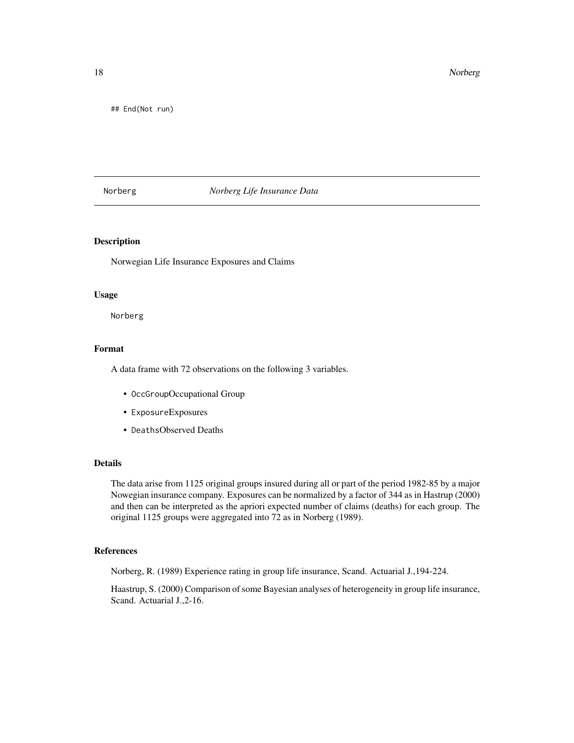<span id="page-17-0"></span>18 Norberg and the contract of the contract of the contract of the contract of the contract of the contract of the contract of the contract of the contract of the contract of the contract of the contract of the contract of

## End(Not run)

#### Norberg *Norberg Life Insurance Data*

#### Description

Norwegian Life Insurance Exposures and Claims

#### Usage

Norberg

#### Format

A data frame with 72 observations on the following 3 variables.

- OccGroupOccupational Group
- ExposureExposures
- DeathsObserved Deaths

#### Details

The data arise from 1125 original groups insured during all or part of the period 1982-85 by a major Nowegian insurance company. Exposures can be normalized by a factor of 344 as in Hastrup (2000) and then can be interpreted as the apriori expected number of claims (deaths) for each group. The original 1125 groups were aggregated into 72 as in Norberg (1989).

#### References

Norberg, R. (1989) Experience rating in group life insurance, Scand. Actuarial J.,194-224.

Haastrup, S. (2000) Comparison of some Bayesian analyses of heterogeneity in group life insurance, Scand. Actuarial J.,2-16.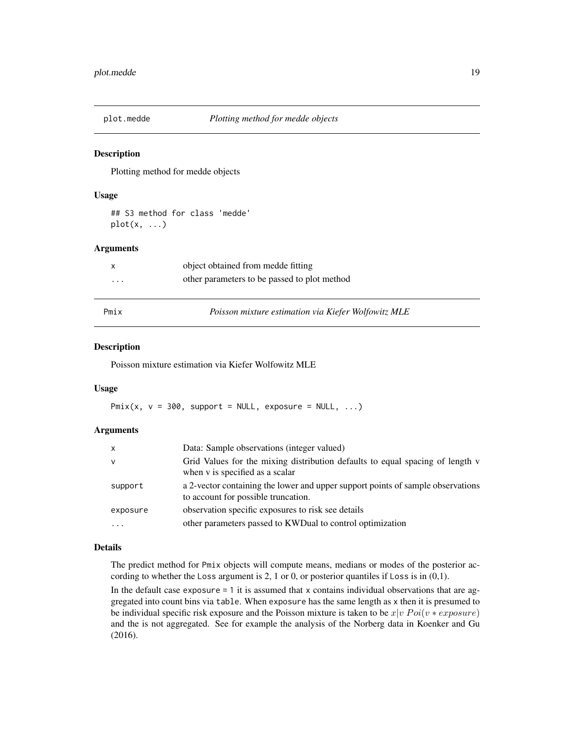<span id="page-18-0"></span>

Plotting method for medde objects

#### Usage

## S3 method for class 'medde'  $plot(x, \ldots)$ 

# Arguments

| Pmix     | Poisson mixture estimation via Kiefer Wolfowitz MLE |  |
|----------|-----------------------------------------------------|--|
| $\cdots$ | other parameters to be passed to plot method        |  |
|          | object obtained from medde fitting                  |  |

#### Description

Poisson mixture estimation via Kiefer Wolfowitz MLE

#### Usage

 $Pmix(x, v = 300, support = NULL, exposure = NULL, ...)$ 

#### Arguments

| X            | Data: Sample observations (integer valued)                                                                             |
|--------------|------------------------------------------------------------------------------------------------------------------------|
| $\mathsf{V}$ | Grid Values for the mixing distribution defaults to equal spacing of length v<br>when v is specified as a scalar       |
| support      | a 2-vector containing the lower and upper support points of sample observations<br>to account for possible truncation. |
| exposure     | observation specific exposures to risk see details                                                                     |
|              | other parameters passed to KWD ual to control optimization                                                             |

#### Details

The predict method for Pmix objects will compute means, medians or modes of the posterior according to whether the Loss argument is 2, 1 or 0, or posterior quantiles if Loss is in  $(0,1)$ .

In the default case exposure  $= 1$  it is assumed that x contains individual observations that are aggregated into count bins via table. When exposure has the same length as x then it is presumed to be individual specific risk exposure and the Poisson mixture is taken to be  $x|v$   $Poi(v * exposure)$ and the is not aggregated. See for example the analysis of the Norberg data in Koenker and Gu (2016).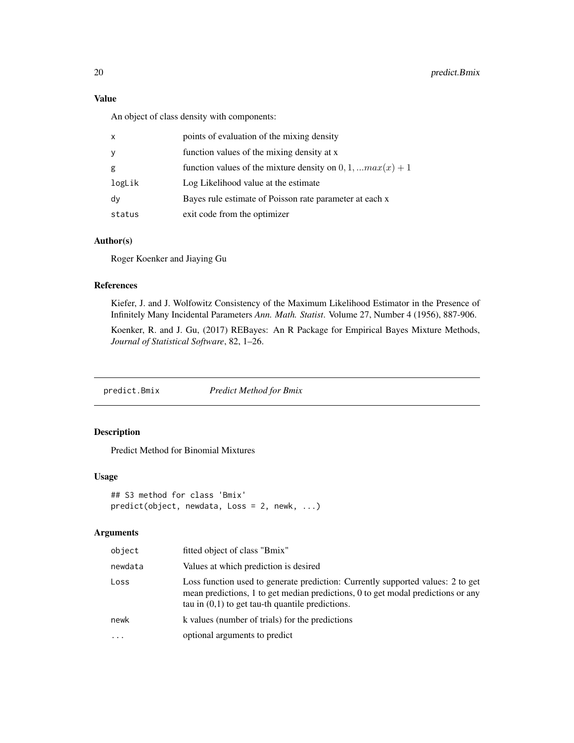# <span id="page-19-0"></span>Value

An object of class density with components:

| $\mathsf{x}$ | points of evaluation of the mixing density                      |
|--------------|-----------------------------------------------------------------|
| У            | function values of the mixing density at x                      |
| g            | function values of the mixture density on $0, 1, $ $max(x) + 1$ |
| logLik       | Log Likelihood value at the estimate                            |
| dy           | Bayes rule estimate of Poisson rate parameter at each x         |
| status       | exit code from the optimizer                                    |

#### Author(s)

Roger Koenker and Jiaying Gu

# References

Kiefer, J. and J. Wolfowitz Consistency of the Maximum Likelihood Estimator in the Presence of Infinitely Many Incidental Parameters *Ann. Math. Statist*. Volume 27, Number 4 (1956), 887-906.

Koenker, R. and J. Gu, (2017) REBayes: An R Package for Empirical Bayes Mixture Methods, *Journal of Statistical Software*, 82, 1–26.

predict.Bmix *Predict Method for Bmix*

# Description

Predict Method for Binomial Mixtures

# Usage

```
## S3 method for class 'Bmix'
predict(object, newdata, Loss = 2, newk, ...)
```

| object    | fitted object of class "Bmix"                                                                                                                                                                                             |
|-----------|---------------------------------------------------------------------------------------------------------------------------------------------------------------------------------------------------------------------------|
| newdata   | Values at which prediction is desired                                                                                                                                                                                     |
| Loss      | Loss function used to generate prediction: Currently supported values: 2 to get<br>mean predictions, 1 to get median predictions, 0 to get modal predictions or any<br>tau in $(0,1)$ to get tau-th quantile predictions. |
| newk      | k values (number of trials) for the predictions                                                                                                                                                                           |
| $\ddotsc$ | optional arguments to predict                                                                                                                                                                                             |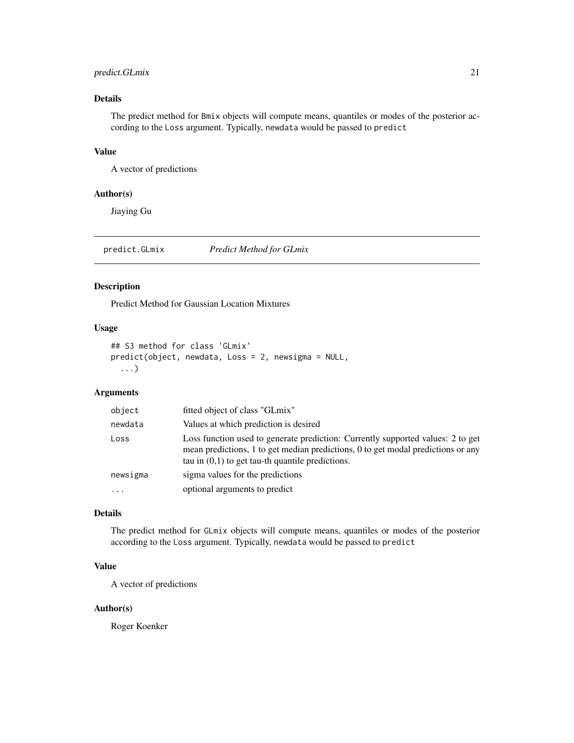# <span id="page-20-0"></span>predict.GLmix 21

# Details

The predict method for Bmix objects will compute means, quantiles or modes of the posterior according to the Loss argument. Typically, newdata would be passed to predict

### Value

A vector of predictions

#### Author(s)

Jiaying Gu

predict.GLmix *Predict Method for GLmix*

# Description

Predict Method for Gaussian Location Mixtures

# Usage

```
## S3 method for class 'GLmix'
predict(object, newdata, Loss = 2, newsigma = NULL,
  ...)
```
# Arguments

| object   | fitted object of class "GLmix"                                                                                                                                                                                            |
|----------|---------------------------------------------------------------------------------------------------------------------------------------------------------------------------------------------------------------------------|
| newdata  | Values at which prediction is desired                                                                                                                                                                                     |
| Loss     | Loss function used to generate prediction: Currently supported values: 2 to get<br>mean predictions, 1 to get median predictions, 0 to get modal predictions or any<br>tau in $(0,1)$ to get tau-th quantile predictions. |
| newsigma | sigma values for the predictions                                                                                                                                                                                          |
|          | optional arguments to predict                                                                                                                                                                                             |

#### Details

The predict method for GLmix objects will compute means, quantiles or modes of the posterior according to the Loss argument. Typically, newdata would be passed to predict

#### Value

A vector of predictions

#### Author(s)

Roger Koenker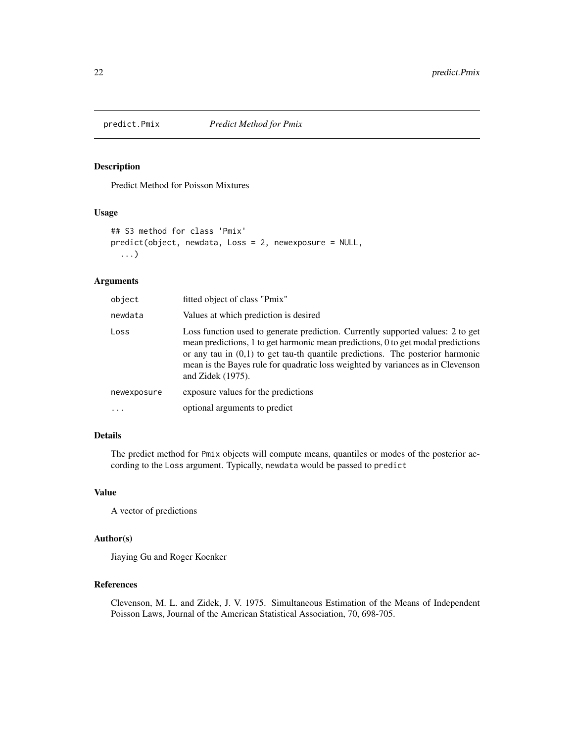<span id="page-21-0"></span>

Predict Method for Poisson Mixtures

#### Usage

```
## S3 method for class 'Pmix'
predict(object, newdata, Loss = 2, newexposure = NULL,
  ...)
```
# Arguments

| object      | fitted object of class "Pmix"                                                                                                                                                                                                                                                                                                                                      |
|-------------|--------------------------------------------------------------------------------------------------------------------------------------------------------------------------------------------------------------------------------------------------------------------------------------------------------------------------------------------------------------------|
| newdata     | Values at which prediction is desired                                                                                                                                                                                                                                                                                                                              |
| Loss        | Loss function used to generate prediction. Currently supported values: 2 to get<br>mean predictions, 1 to get harmonic mean predictions, 0 to get modal predictions<br>or any tau in $(0,1)$ to get tau-th quantile predictions. The posterior harmonic<br>mean is the Bayes rule for quadratic loss weighted by variances as in Clevenson<br>and Zidek $(1975)$ . |
| newexposure | exposure values for the predictions                                                                                                                                                                                                                                                                                                                                |
| $\cdots$    | optional arguments to predict                                                                                                                                                                                                                                                                                                                                      |

# Details

The predict method for Pmix objects will compute means, quantiles or modes of the posterior according to the Loss argument. Typically, newdata would be passed to predict

# Value

A vector of predictions

# Author(s)

Jiaying Gu and Roger Koenker

# References

Clevenson, M. L. and Zidek, J. V. 1975. Simultaneous Estimation of the Means of Independent Poisson Laws, Journal of the American Statistical Association, 70, 698-705.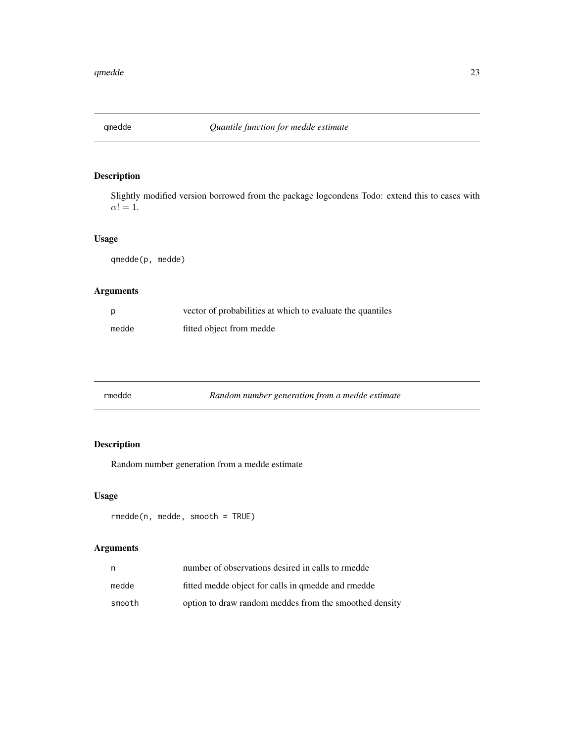<span id="page-22-0"></span>

Slightly modified version borrowed from the package logcondens Todo: extend this to cases with  $\alpha! = 1.$ 

# Usage

qmedde(p, medde)

# Arguments

| - p   | vector of probabilities at which to evaluate the quantiles |
|-------|------------------------------------------------------------|
| medde | fitted object from medde                                   |

| rmedde |  | Random number generation from a medde estimate |  |
|--------|--|------------------------------------------------|--|
|        |  |                                                |  |

# Description

Random number generation from a medde estimate

# Usage

```
rmedde(n, medde, smooth = TRUE)
```

| n      | number of observations desired in calls to rmedde      |
|--------|--------------------------------------------------------|
| medde  | fitted medde object for calls in gmedde and rmedde     |
| smooth | option to draw random meddes from the smoothed density |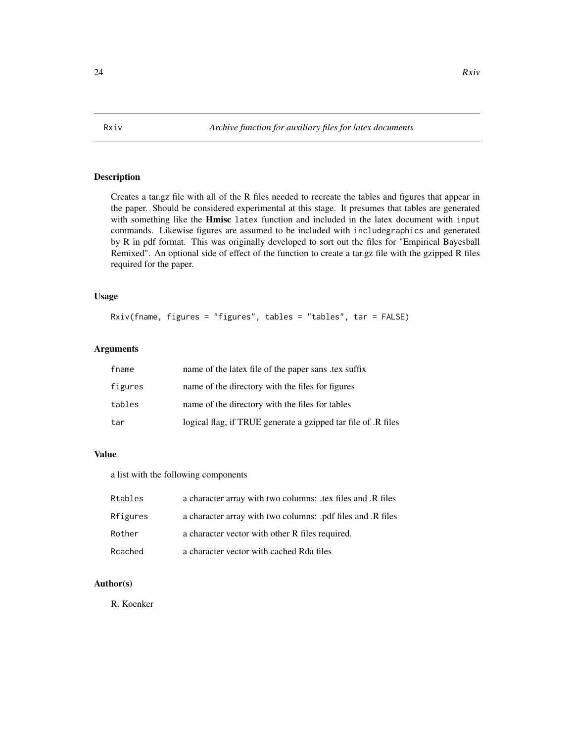<span id="page-23-0"></span>Creates a tar.gz file with all of the R files needed to recreate the tables and figures that appear in the paper. Should be considered experimental at this stage. It presumes that tables are generated with something like the **Hmisc** latex function and included in the latex document with input commands. Likewise figures are assumed to be included with includegraphics and generated by R in pdf format. This was originally developed to sort out the files for "Empirical Bayesball Remixed". An optional side of effect of the function to create a tar.gz file with the gzipped R files required for the paper.

#### Usage

```
Rxiv(fname, figures = "figures", tables = "tables", tar = FALSE)
```
#### **Arguments**

| fname   | name of the latex file of the paper sans tex suffix           |
|---------|---------------------------------------------------------------|
| figures | name of the directory with the files for figures              |
| tables  | name of the directory with the files for tables               |
| tar     | logical flag, if TRUE generate a gzipped tar file of .R files |

# Value

a list with the following components

| Rtables  | a character array with two columns: .tex files and .R files |
|----------|-------------------------------------------------------------|
| Rfigures | a character array with two columns: .pdf files and .R files |
| Rother   | a character vector with other R files required.             |
| Rcached  | a character vector with cached Rda files                    |

# Author(s)

R. Koenker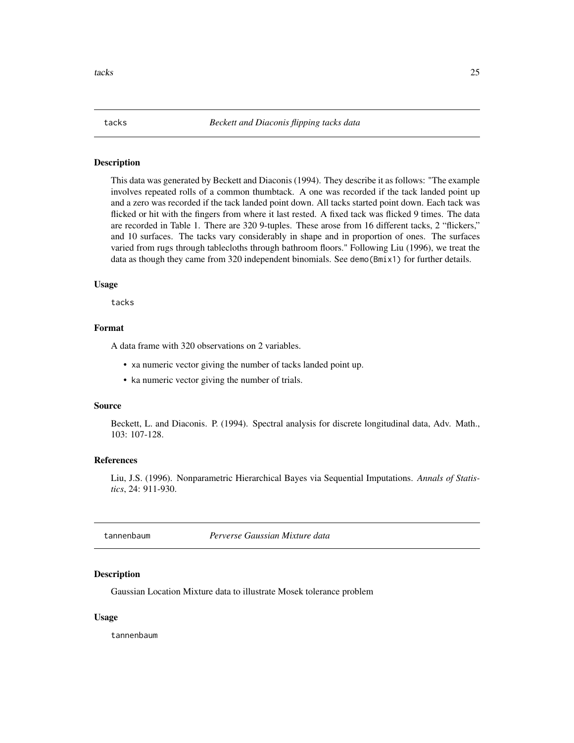<span id="page-24-0"></span>This data was generated by Beckett and Diaconis (1994). They describe it as follows: "The example involves repeated rolls of a common thumbtack. A one was recorded if the tack landed point up and a zero was recorded if the tack landed point down. All tacks started point down. Each tack was flicked or hit with the fingers from where it last rested. A fixed tack was flicked 9 times. The data are recorded in Table 1. There are 320 9-tuples. These arose from 16 different tacks, 2 "flickers," and 10 surfaces. The tacks vary considerably in shape and in proportion of ones. The surfaces varied from rugs through tablecloths through bathroom floors." Following Liu (1996), we treat the data as though they came from 320 independent binomials. See demo(Bmix1) for further details.

#### Usage

tacks

# Format

A data frame with 320 observations on 2 variables.

- xa numeric vector giving the number of tacks landed point up.
- ka numeric vector giving the number of trials.

#### Source

Beckett, L. and Diaconis. P. (1994). Spectral analysis for discrete longitudinal data, Adv. Math., 103: 107-128.

#### References

Liu, J.S. (1996). Nonparametric Hierarchical Bayes via Sequential Imputations. *Annals of Statistics*, 24: 911-930.

tannenbaum *Perverse Gaussian Mixture data*

#### **Description**

Gaussian Location Mixture data to illustrate Mosek tolerance problem

# Usage

tannenbaum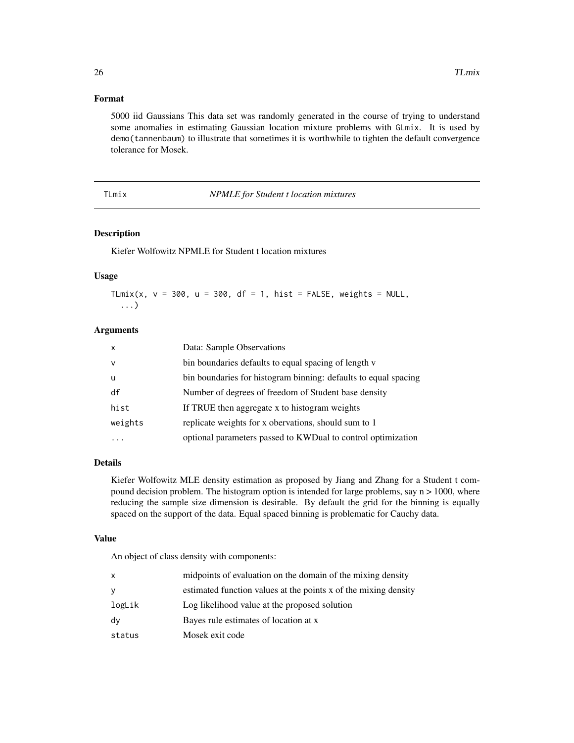# <span id="page-25-0"></span>Format

5000 iid Gaussians This data set was randomly generated in the course of trying to understand some anomalies in estimating Gaussian location mixture problems with GLmix. It is used by demo(tannenbaum) to illustrate that sometimes it is worthwhile to tighten the default convergence tolerance for Mosek.

TLmix *NPMLE for Student t location mixtures*

# Description

Kiefer Wolfowitz NPMLE for Student t location mixtures

#### Usage

TLmix(x,  $v = 300$ ,  $u = 300$ , df = 1, hist = FALSE, weights = NULL, ...)

# Arguments

| $\mathsf{x}$ | Data: Sample Observations                                       |
|--------------|-----------------------------------------------------------------|
| $\mathsf{v}$ | bin boundaries defaults to equal spacing of length v            |
| -u           | bin boundaries for histogram binning: defaults to equal spacing |
| df           | Number of degrees of freedom of Student base density            |
| hist         | If TRUE then aggregate x to histogram weights                   |
| weights      | replicate weights for x obervations, should sum to 1            |
|              | optional parameters passed to KWDual to control optimization    |

#### Details

Kiefer Wolfowitz MLE density estimation as proposed by Jiang and Zhang for a Student t compound decision problem. The histogram option is intended for large problems, say  $n > 1000$ , where reducing the sample size dimension is desirable. By default the grid for the binning is equally spaced on the support of the data. Equal spaced binning is problematic for Cauchy data.

#### Value

An object of class density with components:

| X      | midpoints of evaluation on the domain of the mixing density     |
|--------|-----------------------------------------------------------------|
| y      | estimated function values at the points x of the mixing density |
| logLik | Log likelihood value at the proposed solution                   |
| dy     | Bayes rule estimates of location at x                           |
| status | Mosek exit code                                                 |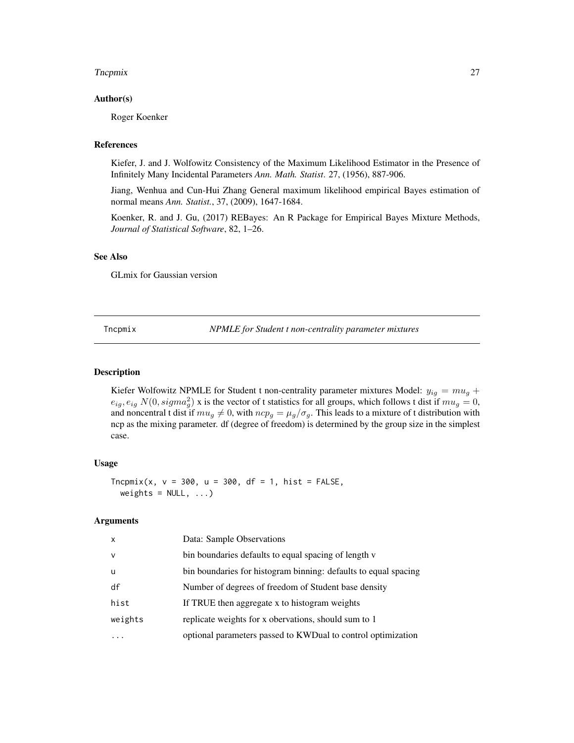#### <span id="page-26-0"></span>The points are a set of the contract of the contract of the contract of the contract of the contract of the contract of the contract of the contract of the contract of the contract of the contract of the contract of the co

#### Author(s)

Roger Koenker

# References

Kiefer, J. and J. Wolfowitz Consistency of the Maximum Likelihood Estimator in the Presence of Infinitely Many Incidental Parameters *Ann. Math. Statist*. 27, (1956), 887-906.

Jiang, Wenhua and Cun-Hui Zhang General maximum likelihood empirical Bayes estimation of normal means *Ann. Statist.*, 37, (2009), 1647-1684.

Koenker, R. and J. Gu, (2017) REBayes: An R Package for Empirical Bayes Mixture Methods, *Journal of Statistical Software*, 82, 1–26.

#### See Also

GLmix for Gaussian version

Tncpmix *NPMLE for Student t non-centrality parameter mixtures*

# **Description**

Kiefer Wolfowitz NPMLE for Student t non-centrality parameter mixtures Model:  $y_{ig} = m u_g +$  $e_{ig}, e_{ig} N(0, sigma_g^2)$  x is the vector of t statistics for all groups, which follows t dist if  $mu_g = 0$ , and noncentral t dist if  $mu_g \neq 0$ , with  $ncp_g = \mu_g/\sigma_g$ . This leads to a mixture of t distribution with ncp as the mixing parameter. df (degree of freedom) is determined by the group size in the simplest case.

# Usage

 $Tncpmix(x, v = 300, u = 300, df = 1, hist = FALSE,$ weights =  $NULL, ...)$ 

| x            | Data: Sample Observations                                       |
|--------------|-----------------------------------------------------------------|
| $\mathsf{V}$ | bin boundaries defaults to equal spacing of length v            |
| u            | bin boundaries for histogram binning: defaults to equal spacing |
| df           | Number of degrees of freedom of Student base density            |
| hist         | If TRUE then aggregate x to histogram weights                   |
| weights      | replicate weights for x obervations, should sum to 1            |
|              | optional parameters passed to KWDual to control optimization    |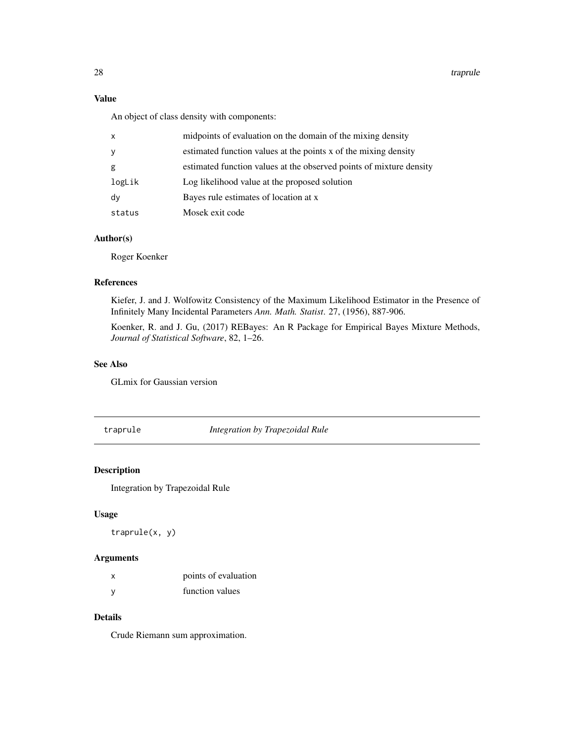<span id="page-27-0"></span>28 traprule to the control of the control of the control of the control of the control of the control of the control of the control of the control of the control of the control of the control of the control of the control

# Value

An object of class density with components:

| $\mathsf{x}$ | midpoints of evaluation on the domain of the mixing density         |
|--------------|---------------------------------------------------------------------|
| У            | estimated function values at the points x of the mixing density     |
| g            | estimated function values at the observed points of mixture density |
| logLik       | Log likelihood value at the proposed solution                       |
| dy           | Bayes rule estimates of location at x                               |
| status       | Mosek exit code                                                     |

# Author(s)

Roger Koenker

#### References

Kiefer, J. and J. Wolfowitz Consistency of the Maximum Likelihood Estimator in the Presence of Infinitely Many Incidental Parameters *Ann. Math. Statist*. 27, (1956), 887-906.

Koenker, R. and J. Gu, (2017) REBayes: An R Package for Empirical Bayes Mixture Methods, *Journal of Statistical Software*, 82, 1–26.

# See Also

GLmix for Gaussian version

traprule *Integration by Trapezoidal Rule*

# Description

Integration by Trapezoidal Rule

#### Usage

traprule(x, y)

### Arguments

| points of evaluation |
|----------------------|
| function values      |

# Details

Crude Riemann sum approximation.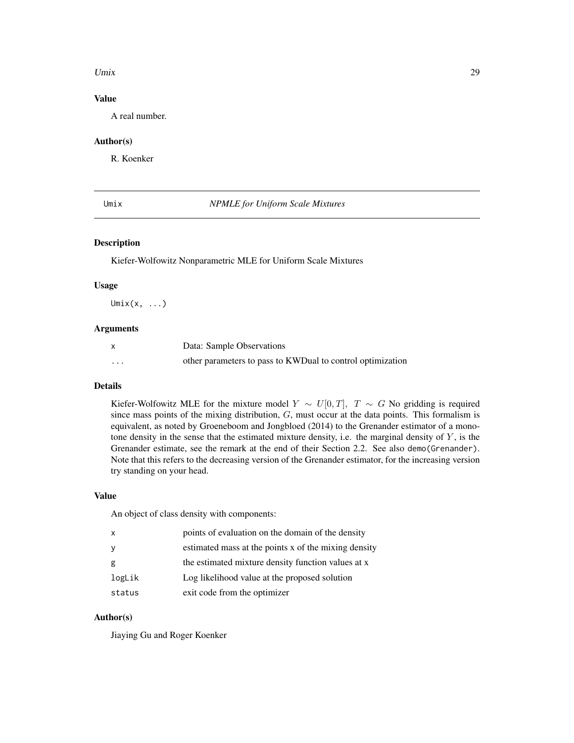#### <span id="page-28-0"></span>Umix 29

# Value

A real number.

# Author(s)

R. Koenker

# Umix *NPMLE for Uniform Scale Mixtures*

# Description

Kiefer-Wolfowitz Nonparametric MLE for Uniform Scale Mixtures

#### Usage

 $Umix(x, \ldots)$ 

#### Arguments

| X | Data: Sample Observations                                  |
|---|------------------------------------------------------------|
| . | other parameters to pass to KWDual to control optimization |

# Details

Kiefer-Wolfowitz MLE for the mixture model  $Y \sim U[0, T]$ ,  $T \sim G$  No gridding is required since mass points of the mixing distribution,  $G$ , must occur at the data points. This formalism is equivalent, as noted by Groeneboom and Jongbloed (2014) to the Grenander estimator of a monotone density in the sense that the estimated mixture density, i.e. the marginal density of  $Y$ , is the Grenander estimate, see the remark at the end of their Section 2.2. See also demo(Grenander). Note that this refers to the decreasing version of the Grenander estimator, for the increasing version try standing on your head.

# Value

An object of class density with components:

| $\mathsf{x}$ | points of evaluation on the domain of the density    |
|--------------|------------------------------------------------------|
| y            | estimated mass at the points x of the mixing density |
| g            | the estimated mixture density function values at x   |
| logLik       | Log likelihood value at the proposed solution        |
| status       | exit code from the optimizer                         |

# Author(s)

Jiaying Gu and Roger Koenker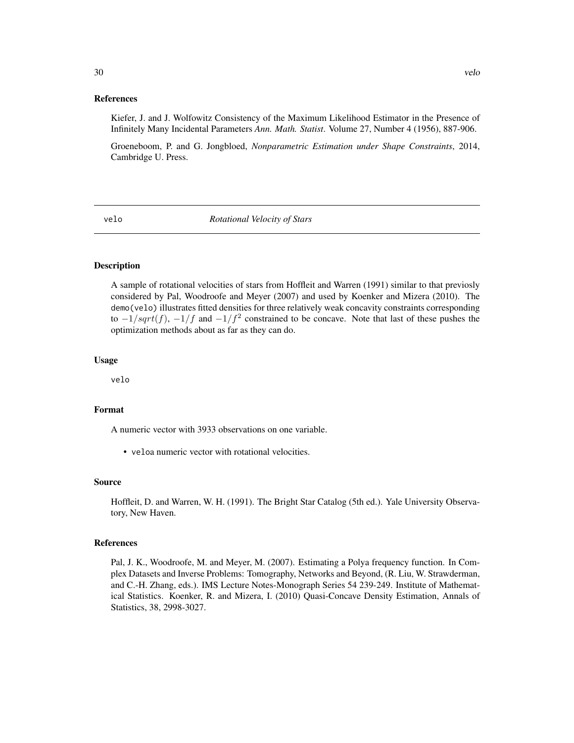Kiefer, J. and J. Wolfowitz Consistency of the Maximum Likelihood Estimator in the Presence of Infinitely Many Incidental Parameters *Ann. Math. Statist*. Volume 27, Number 4 (1956), 887-906.

Groeneboom, P. and G. Jongbloed, *Nonparametric Estimation under Shape Constraints*, 2014, Cambridge U. Press.

velo *Rotational Velocity of Stars*

#### Description

A sample of rotational velocities of stars from Hoffleit and Warren (1991) similar to that previosly considered by Pal, Woodroofe and Meyer (2007) and used by Koenker and Mizera (2010). The demo(velo) illustrates fitted densities for three relatively weak concavity constraints corresponding to  $-1/sqrt(f)$ ,  $-1/f$  and  $-1/f<sup>2</sup>$  constrained to be concave. Note that last of these pushes the optimization methods about as far as they can do.

### Usage

velo

#### Format

A numeric vector with 3933 observations on one variable.

• veloa numeric vector with rotational velocities.

#### Source

Hoffleit, D. and Warren, W. H. (1991). The Bright Star Catalog (5th ed.). Yale University Observatory, New Haven.

# References

Pal, J. K., Woodroofe, M. and Meyer, M. (2007). Estimating a Polya frequency function. In Complex Datasets and Inverse Problems: Tomography, Networks and Beyond, (R. Liu, W. Strawderman, and C.-H. Zhang, eds.). IMS Lecture Notes-Monograph Series 54 239-249. Institute of Mathematical Statistics. Koenker, R. and Mizera, I. (2010) Quasi-Concave Density Estimation, Annals of Statistics, 38, 2998-3027.

<span id="page-29-0"></span>30 velocity and the contract of the contract of the contract of the contract of the contract of the contract of the contract of the contract of the contract of the contract of the contract of the contract of the contract o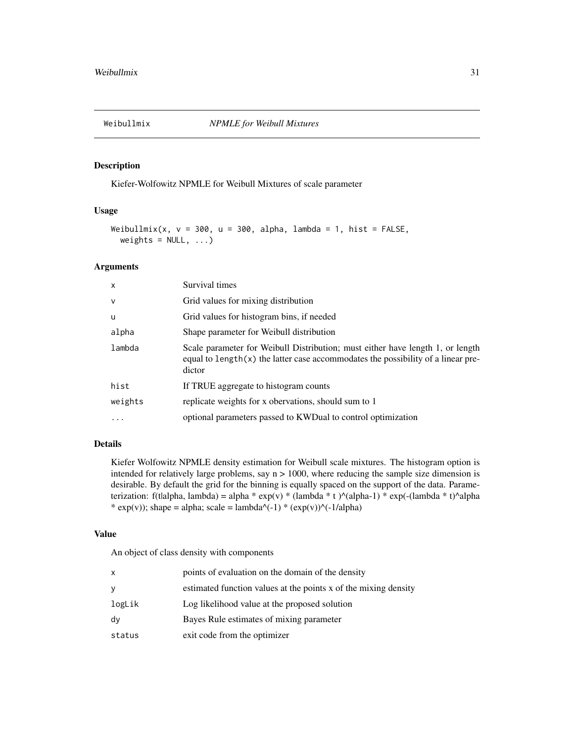<span id="page-30-0"></span>

Kiefer-Wolfowitz NPMLE for Weibull Mixtures of scale parameter

# Usage

```
Weibullmix(x, v = 300, u = 300, alpha, lambda = 1, hist = FALSE,
 weights = NULL, ...)
```
#### Arguments

| $\mathsf{x}$ | Survival times                                                                                                                                                                 |
|--------------|--------------------------------------------------------------------------------------------------------------------------------------------------------------------------------|
| $\mathsf{v}$ | Grid values for mixing distribution                                                                                                                                            |
| u            | Grid values for histogram bins, if needed                                                                                                                                      |
| alpha        | Shape parameter for Weibull distribution                                                                                                                                       |
| lambda       | Scale parameter for Weibull Distribution; must either have length 1, or length<br>equal to $length(x)$ the latter case accommodates the possibility of a linear pre-<br>dictor |
| hist         | If TRUE aggregate to histogram counts                                                                                                                                          |
| weights      | replicate weights for x obervations, should sum to 1                                                                                                                           |
| $\cdot$      | optional parameters passed to KWDual to control optimization                                                                                                                   |

# Details

Kiefer Wolfowitz NPMLE density estimation for Weibull scale mixtures. The histogram option is intended for relatively large problems, say  $n > 1000$ , where reducing the sample size dimension is desirable. By default the grid for the binning is equally spaced on the support of the data. Parameterization: f(tlalpha, lambda) = alpha \* exp(v) \* (lambda \* t ) $\land$ (alpha-1) \* exp(-(lambda \* t) $\land$ alpha \* exp(v)); shape = alpha; scale = lambda^(-1) \* (exp(v))^(-1/alpha)

# Value

An object of class density with components

| x      | points of evaluation on the domain of the density               |
|--------|-----------------------------------------------------------------|
| y      | estimated function values at the points x of the mixing density |
| logLik | Log likelihood value at the proposed solution                   |
| dv     | Bayes Rule estimates of mixing parameter                        |
| status | exit code from the optimizer                                    |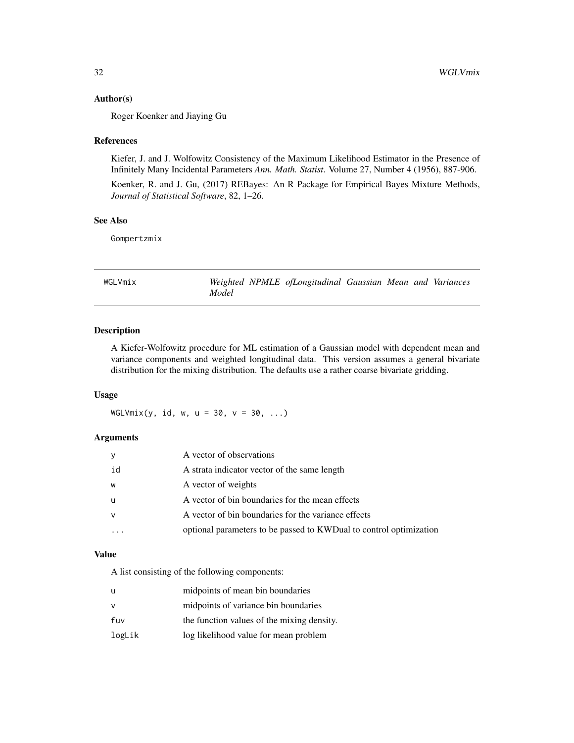#### <span id="page-31-0"></span>Author(s)

Roger Koenker and Jiaying Gu

#### References

Kiefer, J. and J. Wolfowitz Consistency of the Maximum Likelihood Estimator in the Presence of Infinitely Many Incidental Parameters *Ann. Math. Statist*. Volume 27, Number 4 (1956), 887-906.

Koenker, R. and J. Gu, (2017) REBayes: An R Package for Empirical Bayes Mixture Methods, *Journal of Statistical Software*, 82, 1–26.

#### See Also

Gompertzmix

WGLVmix *Weighted NPMLE ofLongitudinal Gaussian Mean and Variances Model*

# Description

A Kiefer-Wolfowitz procedure for ML estimation of a Gaussian model with dependent mean and variance components and weighted longitudinal data. This version assumes a general bivariate distribution for the mixing distribution. The defaults use a rather coarse bivariate gridding.

#### Usage

 $WGLV$ mix(y, id, w, u = 30, v = 30, ...)

#### Arguments

| <b>y</b> | A vector of observations                                           |
|----------|--------------------------------------------------------------------|
| id       | A strata indicator vector of the same length                       |
| W        | A vector of weights                                                |
| - u      | A vector of bin boundaries for the mean effects                    |
|          | A vector of bin boundaries for the variance effects                |
|          | optional parameters to be passed to KWDual to control optimization |

#### Value

A list consisting of the following components:

| u      | midpoints of mean bin boundaries           |
|--------|--------------------------------------------|
| v      | midpoints of variance bin boundaries       |
| fuv    | the function values of the mixing density. |
| logLik | log likelihood value for mean problem      |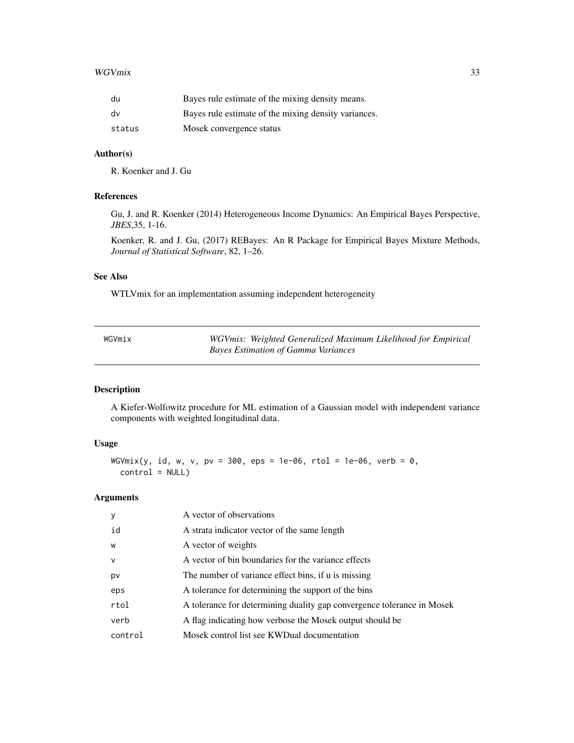#### <span id="page-32-0"></span>WGVmix 33

| du     | Bayes rule estimate of the mixing density means.     |
|--------|------------------------------------------------------|
| dv     | Bayes rule estimate of the mixing density variances. |
| status | Mosek convergence status                             |

# Author(s)

R. Koenker and J. Gu

# References

Gu, J. and R. Koenker (2014) Heterogeneous Income Dynamics: An Empirical Bayes Perspective, *JBES*,35, 1-16.

Koenker, R. and J. Gu, (2017) REBayes: An R Package for Empirical Bayes Mixture Methods, *Journal of Statistical Software*, 82, 1–26.

# See Also

WTLVmix for an implementation assuming independent heterogeneity

| WGVmix | WGVmix: Weighted Generalized Maximum Likelihood for Empirical |  |
|--------|---------------------------------------------------------------|--|
|        | <b>Bayes Estimation of Gamma Variances</b>                    |  |

# Description

A Kiefer-Wolfowitz procedure for ML estimation of a Gaussian model with independent variance components with weighted longitudinal data.

# Usage

WGVmix(y, id, w, v, pv = 300, eps = 1e-06, rtol = 1e-06, verb = 0,  $control = NULL)$ 

| У            | A vector of observations                                               |
|--------------|------------------------------------------------------------------------|
| id           | A strata indicator vector of the same length                           |
| W            | A vector of weights                                                    |
| $\mathsf{V}$ | A vector of bin boundaries for the variance effects                    |
| pv           | The number of variance effect bins, if u is missing                    |
| eps          | A tolerance for determining the support of the bins                    |
| rtol         | A tolerance for determining duality gap convergence tolerance in Mosek |
| verb         | A flag indicating how verbose the Mosek output should be               |
| control      | Mosek control list see KWDual documentation                            |
|              |                                                                        |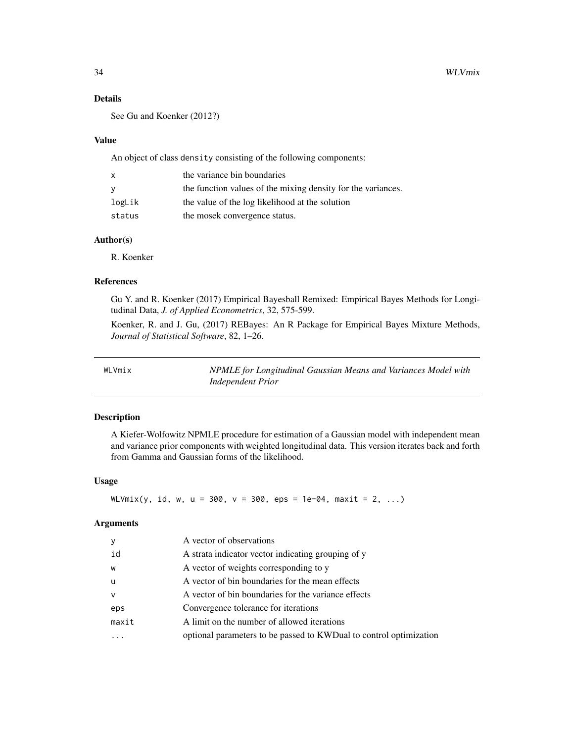# Details

See Gu and Koenker (2012?)

#### Value

An object of class density consisting of the following components:

| $\mathsf{x}$ | the variance bin boundaries                                  |
|--------------|--------------------------------------------------------------|
| <b>V</b>     | the function values of the mixing density for the variances. |
| logLik       | the value of the log likelihood at the solution              |
| status       | the mosek convergence status.                                |

#### Author(s)

R. Koenker

#### References

Gu Y. and R. Koenker (2017) Empirical Bayesball Remixed: Empirical Bayes Methods for Longitudinal Data, *J. of Applied Econometrics*, 32, 575-599.

Koenker, R. and J. Gu, (2017) REBayes: An R Package for Empirical Bayes Mixture Methods, *Journal of Statistical Software*, 82, 1–26.

WLVmix *NPMLE for Longitudinal Gaussian Means and Variances Model with Independent Prior*

# Description

A Kiefer-Wolfowitz NPMLE procedure for estimation of a Gaussian model with independent mean and variance prior components with weighted longitudinal data. This version iterates back and forth from Gamma and Gaussian forms of the likelihood.

# Usage

 $WLVmix(y, id, w, u = 300, v = 300, eps = 1e-04, maxit = 2, ...)$ 

| y            | A vector of observations                                            |
|--------------|---------------------------------------------------------------------|
| id           | A strata indicator vector indicating grouping of y                  |
| W            | A vector of weights corresponding to y                              |
| u            | A vector of bin boundaries for the mean effects                     |
| $\mathsf{v}$ | A vector of bin boundaries for the variance effects                 |
| eps          | Convergence tolerance for iterations                                |
| maxit        | A limit on the number of allowed iterations                         |
|              | optional parameters to be passed to KWD ual to control optimization |

<span id="page-33-0"></span>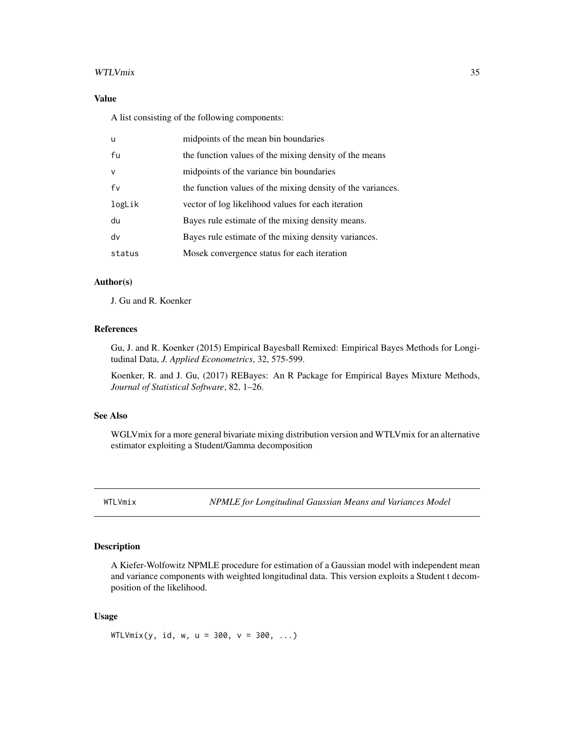#### <span id="page-34-0"></span>WTLVmix 35

# Value

A list consisting of the following components:

| $\mathbf{u}$ | midpoints of the mean bin boundaries                        |
|--------------|-------------------------------------------------------------|
| fu           | the function values of the mixing density of the means      |
| $\mathsf{V}$ | midpoints of the variance bin boundaries                    |
| fv           | the function values of the mixing density of the variances. |
| logLik       | vector of log likelihood values for each iteration          |
| du           | Bayes rule estimate of the mixing density means.            |
| dv           | Bayes rule estimate of the mixing density variances.        |
| status       | Mosek convergence status for each iteration                 |

# Author(s)

J. Gu and R. Koenker

#### References

Gu, J. and R. Koenker (2015) Empirical Bayesball Remixed: Empirical Bayes Methods for Longitudinal Data, *J. Applied Econometrics*, 32, 575-599.

Koenker, R. and J. Gu, (2017) REBayes: An R Package for Empirical Bayes Mixture Methods, *Journal of Statistical Software*, 82, 1–26.

#### See Also

WGLVmix for a more general bivariate mixing distribution version and WTLVmix for an alternative estimator exploiting a Student/Gamma decomposition

WTLVmix *NPMLE for Longitudinal Gaussian Means and Variances Model*

# Description

A Kiefer-Wolfowitz NPMLE procedure for estimation of a Gaussian model with independent mean and variance components with weighted longitudinal data. This version exploits a Student t decomposition of the likelihood.

#### Usage

 $WTLVmix(y, id, w, u = 300, v = 300, ...)$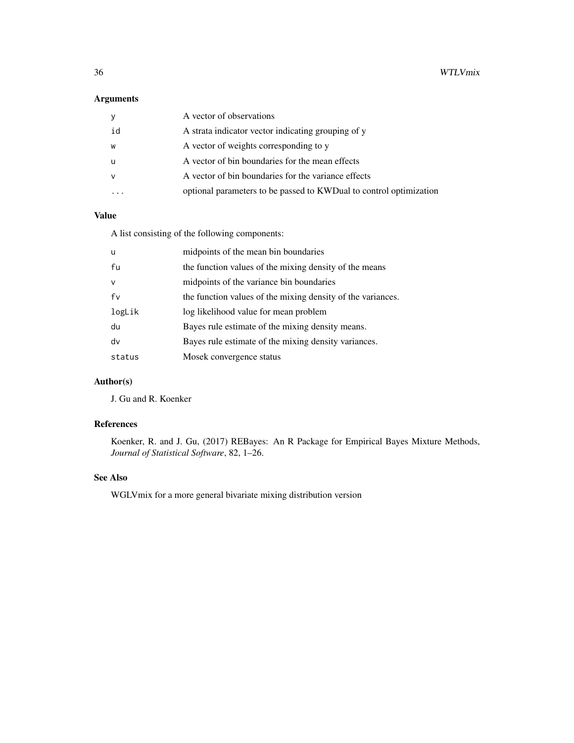36 WTLVmix

# Arguments

|    | A vector of observations                                            |
|----|---------------------------------------------------------------------|
| id | A strata indicator vector indicating grouping of y                  |
| W  | A vector of weights corresponding to y                              |
| u  | A vector of bin boundaries for the mean effects                     |
| v  | A vector of bin boundaries for the variance effects                 |
|    | optional parameters to be passed to KWD ual to control optimization |

# Value

A list consisting of the following components:

| <b>u</b>     | midpoints of the mean bin boundaries                        |
|--------------|-------------------------------------------------------------|
| fu           | the function values of the mixing density of the means      |
| $\mathsf{v}$ | midpoints of the variance bin boundaries                    |
| fv           | the function values of the mixing density of the variances. |
| logLik       | log likelihood value for mean problem                       |
| du           | Bayes rule estimate of the mixing density means.            |
| dv           | Bayes rule estimate of the mixing density variances.        |
| status       | Mosek convergence status                                    |

# Author(s)

J. Gu and R. Koenker

# References

Koenker, R. and J. Gu, (2017) REBayes: An R Package for Empirical Bayes Mixture Methods, *Journal of Statistical Software*, 82, 1–26.

# See Also

WGLVmix for a more general bivariate mixing distribution version